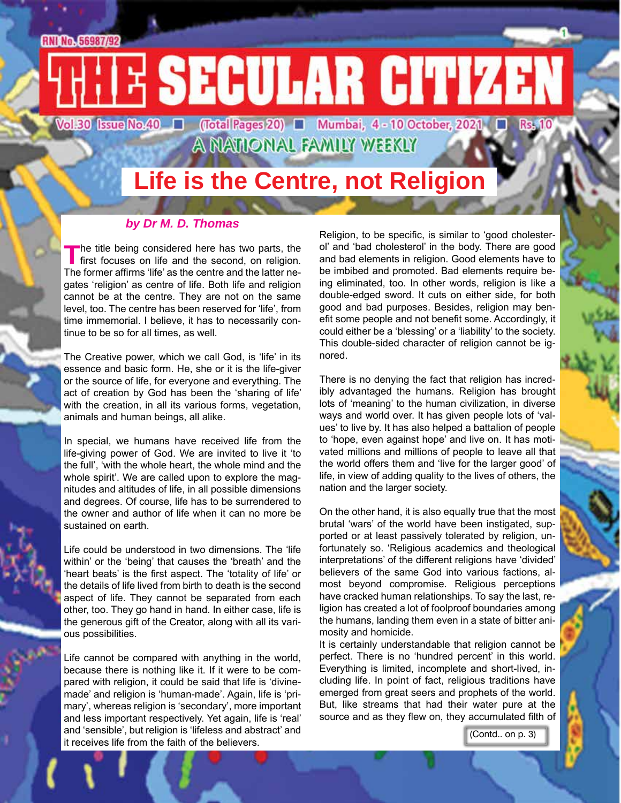# **RNI No. 56987/92** E SECULAR CITIZEN Vol.30 Issue No.40 | (Total Pages 20) | Mumbai, 4 - 10 October, 2021 | Rs.

A NATIONAL FAMILY WEEKLY

## **Life is the Centre, not Religion**

#### *by Dr M. D. Thomas*

The title being considered here has two parts, the first focuses on life and the second, on religion. The former affirms 'life' as the centre and the latter negates 'religion' as centre of life. Both life and religion cannot be at the centre. They are not on the same level, too. The centre has been reserved for 'life', from time immemorial. I believe, it has to necessarily continue to be so for all times, as well.

The Creative power, which we call God, is 'life' in its essence and basic form. He, she or it is the life-giver or the source of life, for everyone and everything. The act of creation by God has been the 'sharing of life' with the creation, in all its various forms, vegetation, animals and human beings, all alike.

In special, we humans have received life from the life-giving power of God. We are invited to live it 'to the full', 'with the whole heart, the whole mind and the whole spirit'. We are called upon to explore the magnitudes and altitudes of life, in all possible dimensions and degrees. Of course, life has to be surrendered to the owner and author of life when it can no more be sustained on earth.

Life could be understood in two dimensions. The 'life within' or the 'being' that causes the 'breath' and the 'heart beats' is the first aspect. The 'totality of life' or the details of life lived from birth to death is the second aspect of life. They cannot be separated from each other, too. They go hand in hand. In either case, life is the generous gift of the Creator, along with all its various possibilities.

Life cannot be compared with anything in the world, because there is nothing like it. If it were to be compared with religion, it could be said that life is 'divinemade' and religion is 'human-made'. Again, life is 'primary', whereas religion is 'secondary', more important and less important respectively. Yet again, life is 'real' and 'sensible', but religion is 'lifeless and abstract' and it receives life from the faith of the believers.

Religion, to be specific, is similar to 'good cholesterol' and 'bad cholesterol' in the body. There are good and bad elements in religion. Good elements have to be imbibed and promoted. Bad elements require being eliminated, too. In other words, religion is like a double-edged sword. It cuts on either side, for both good and bad purposes. Besides, religion may benefit some people and not benefit some. Accordingly, it could either be a 'blessing' or a 'liability' to the society. This double-sided character of religion cannot be ignored.

There is no denying the fact that religion has incredibly advantaged the humans. Religion has brought lots of 'meaning' to the human civilization, in diverse ways and world over. It has given people lots of 'values' to live by. It has also helped a battalion of people to 'hope, even against hope' and live on. It has motivated millions and millions of people to leave all that the world offers them and 'live for the larger good' of life, in view of adding quality to the lives of others, the nation and the larger society.

On the other hand, it is also equally true that the most brutal 'wars' of the world have been instigated, supported or at least passively tolerated by religion, unfortunately so. 'Religious academics and theological interpretations' of the different religions have 'divided' believers of the same God into various factions, almost beyond compromise. Religious perceptions have cracked human relationships. To say the last, religion has created a lot of foolproof boundaries among the humans, landing them even in a state of bitter animosity and homicide.

It is certainly understandable that religion cannot be perfect. There is no 'hundred percent' in this world. Everything is limited, incomplete and short-lived, including life. In point of fact, religious traditions have emerged from great seers and prophets of the world. But, like streams that had their water pure at the source and as they flew on, they accumulated filth of

(Contd.. on p. 3)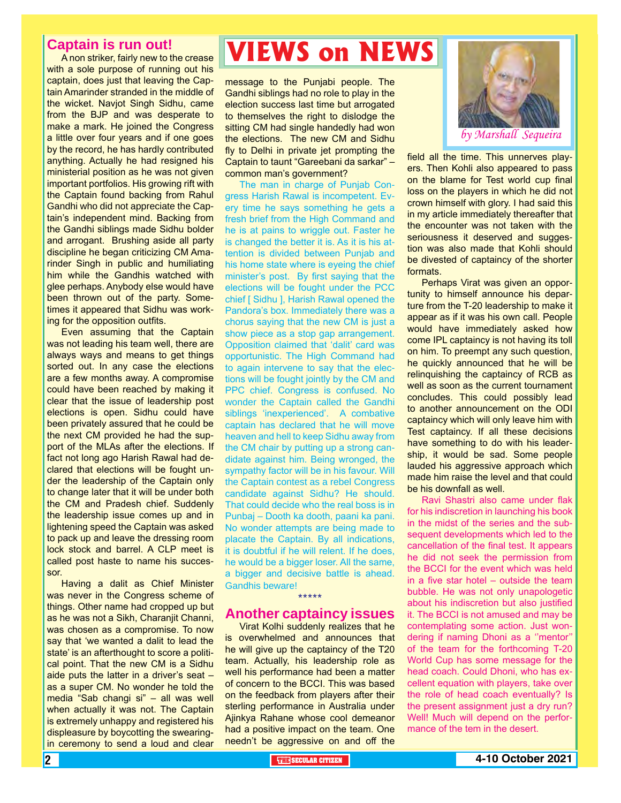#### **Captain is run out!**

A non striker, fairly new to the crease with a sole purpose of running out his captain, does just that leaving the Captain Amarinder stranded in the middle of the wicket. Navjot Singh Sidhu, came from the BJP and was desperate to make a mark. He joined the Congress a little over four years and if one goes by the record, he has hardly contributed anything. Actually he had resigned his ministerial position as he was not given important portfolios. His growing rift with the Captain found backing from Rahul Gandhi who did not appreciate the Captain's independent mind. Backing from the Gandhi siblings made Sidhu bolder and arrogant. Brushing aside all party discipline he began criticizing CM Amarinder Singh in public and humiliating him while the Gandhis watched with glee perhaps. Anybody else would have been thrown out of the party. Sometimes it appeared that Sidhu was working for the opposition outfits.

Even assuming that the Captain was not leading his team well, there are always ways and means to get things sorted out. In any case the elections are a few months away. A compromise could have been reached by making it clear that the issue of leadership post elections is open. Sidhu could have been privately assured that he could be the next CM provided he had the support of the MLAs after the elections. If fact not long ago Harish Rawal had declared that elections will be fought under the leadership of the Captain only to change later that it will be under both the CM and Pradesh chief. Suddenly the leadership issue comes up and in lightening speed the Captain was asked to pack up and leave the dressing room lock stock and barrel. A CLP meet is called post haste to name his successor.

Having a dalit as Chief Minister was never in the Congress scheme of things. Other name had cropped up but as he was not a Sikh, Charanjit Channi, was chosen as a compromise. To now say that 'we wanted a dalit to lead the state' is an afterthought to score a political point. That the new CM is a Sidhu aide puts the latter in a driver's seat – as a super CM. No wonder he told the media "Sab changi si" – all was well when actually it was not. The Captain is extremely unhappy and registered his displeasure by boycotting the swearingin ceremony to send a loud and clear

## **VIEWS on NEWS**

message to the Punjabi people. The Gandhi siblings had no role to play in the election success last time but arrogated to themselves the right to dislodge the sitting CM had single handedly had won the elections. The new CM and Sidhu fly to Delhi in private jet prompting the Captain to taunt "Gareebani da sarkar" – common man's government?

The man in charge of Punjab Congress Harish Rawal is incompetent. Every time he says something he gets a fresh brief from the High Command and he is at pains to wriggle out. Faster he is changed the better it is. As it is his attention is divided between Punjab and his home state where is eyeing the chief minister's post. By first saying that the elections will be fought under the PCC chief [ Sidhu ], Harish Rawal opened the Pandora's box. Immediately there was a chorus saying that the new CM is just a show piece as a stop gap arrangement. Opposition claimed that 'dalit' card was opportunistic. The High Command had to again intervene to say that the elections will be fought jointly by the CM and PPC chief. Congress is confused. No wonder the Captain called the Gandhi siblings 'inexperienced'. A combative captain has declared that he will move heaven and hell to keep Sidhu away from the CM chair by putting up a strong candidate against him. Being wronged, the sympathy factor will be in his favour. Will the Captain contest as a rebel Congress candidate against Sidhu? He should. That could decide who the real boss is in Punbaj – Dooth ka dooth, paani ka pani. No wonder attempts are being made to placate the Captain. By all indications, it is doubtful if he will relent. If he does, he would be a bigger loser. All the same, a bigger and decisive battle is ahead. Gandhis beware!

### \*\*\*\*\* **Another captaincy issues**

Virat Kolhi suddenly realizes that he is overwhelmed and announces that he will give up the captaincy of the T20 team. Actually, his leadership role as well his performance had been a matter of concern to the BCCI. This was based on the feedback from players after their sterling performance in Australia under Ajinkya Rahane whose cool demeanor had a positive impact on the team. One needn't be aggressive on and off the



field all the time. This unnerves players. Then Kohli also appeared to pass on the blame for Test world cup final loss on the players in which he did not crown himself with glory. I had said this in my article immediately thereafter that the encounter was not taken with the seriousness it deserved and suggestion was also made that Kohli should be divested of captaincy of the shorter formats.

Perhaps Virat was given an opportunity to himself announce his departure from the T-20 leadership to make it appear as if it was his own call. People would have immediately asked how come IPL captaincy is not having its toll on him. To preempt any such question, he quickly announced that he will be relinquishing the captaincy of RCB as well as soon as the current tournament concludes. This could possibly lead to another announcement on the ODI captaincy which will only leave him with Test captaincy. If all these decisions have something to do with his leadership, it would be sad. Some people lauded his aggressive approach which made him raise the level and that could be his downfall as well.

Ravi Shastri also came under flak for his indiscretion in launching his book in the midst of the series and the subsequent developments which led to the cancellation of the final test. It appears he did not seek the permission from the BCCI for the event which was held in a five star hotel – outside the team bubble. He was not only unapologetic about his indiscretion but also justified it. The BCCI is not amused and may be contemplating some action. Just wondering if naming Dhoni as a ''mentor'' of the team for the forthcoming T-20 World Cup has some message for the head coach. Could Dhoni, who has excellent equation with players, take over the role of head coach eventually? Is the present assignment just a dry run? Well! Much will depend on the performance of the tem in the desert.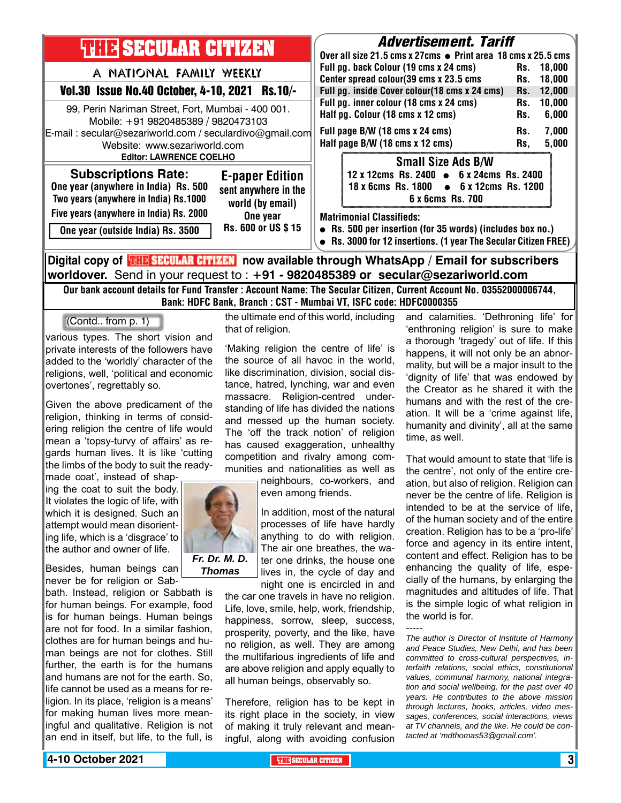| <b>THIR SECULAR CITIZEN</b>                                                                                                                                                                                                                                                                         | <b>Advertisement. Tariff</b><br>Over all size 21.5 cms x 27cms ● Print area 18 cms x 25.5 cms                                                                                                                                                                                                           |
|-----------------------------------------------------------------------------------------------------------------------------------------------------------------------------------------------------------------------------------------------------------------------------------------------------|---------------------------------------------------------------------------------------------------------------------------------------------------------------------------------------------------------------------------------------------------------------------------------------------------------|
| A NATIONAL FAMILY WEEKLY<br><b>Vol.30 Issue No.40 October, 4-10, 2021</b><br>$Rs.10/-$                                                                                                                                                                                                              | Full pg. back Colour (19 cms x 24 cms)<br>18,000<br>Rs.<br>Center spread colour(39 cms x 23.5 cms<br>18,000<br>Rs.<br>Full pg. inside Cover colour(18 cms x 24 cms)<br>12,000<br>Rs.                                                                                                                    |
| 99, Perin Nariman Street, Fort, Mumbai - 400 001.<br>Mobile: +91 9820485389 / 9820473103<br>E-mail: secular@sezariworld.com / seculardivo@gmail.com<br>Website: www.sezariworld.com<br><b>Editor: LAWRENCE COELHO</b>                                                                               | Full pg. inner colour (18 cms x 24 cms)<br>10,000<br>Rs.<br>Half pg. Colour (18 cms x 12 cms)<br>6,000<br>Rs.<br>7,000<br>Full page B/W (18 cms x 24 cms)<br>Rs.<br>Half page B/W (18 cms x 12 cms)<br>5,000<br>Rs.                                                                                     |
| <b>Subscriptions Rate:</b><br><b>E-paper Edition</b><br>One year (anywhere in India) Rs. 500<br>sent anywhere in the<br>Two years (anywhere in India) Rs.1000<br>world (by email)<br>Five years (anywhere in India) Rs. 2000<br>One year<br>Rs. 600 or US \$15<br>One year (outside India) Rs. 3500 | <b>Small Size Ads B/W</b><br>12 x 12cms Rs. 2400 • 6 x 24cms Rs. 2400<br>18 x 6cms Rs. 1800 • 6 x 12cms Rs. 1200<br>6 x 6cms Rs. 700<br><b>Matrimonial Classifieds:</b><br>• Rs. 500 per insertion (for 35 words) (includes box no.)<br>• Rs. 3000 for 12 insertions. (1 year The Secular Citizen FREE) |
| Digital copy of <b>THE SECULAR CITIZEN</b> now available through WhatsApp / Email for subscribers                                                                                                                                                                                                   |                                                                                                                                                                                                                                                                                                         |

**worldover.** Send in your request to : **+91 - 9820485389 or secular@sezariworld.com**

Our bank account details for Fund Transfer : Account Name: The Secular Citizen, Current Account No. 03552000006744, Bank: HDFC Bank, Branch : CST - Mumbai VT, ISFC code: HDFC0000355

(Contd.. from p. 1)

various types. The short vision and private interests of the followers have added to the 'worldly' character of the religions, well, 'political and economic overtones', regrettably so.

Given the above predicament of the religion, thinking in terms of considering religion the centre of life would mean a 'topsy-turvy of affairs' as regards human lives. It is like 'cutting the limbs of the body to suit the ready-

made coat', instead of shaping the coat to suit the body. It violates the logic of life, with which it is designed. Such an attempt would mean disorienting life, which is a 'disgrace' to the author and owner of life.

Besides, human beings can never be for religion or Sab-

bath. Instead, religion or Sabbath is for human beings. For example, food is for human beings. Human beings are not for food. In a similar fashion, clothes are for human beings and human beings are not for clothes. Still further, the earth is for the humans and humans are not for the earth. So, life cannot be used as a means for religion. In its place, 'religion is a means' for making human lives more meaningful and qualitative. Religion is not an end in itself, but life, to the full, is

the ultimate end of this world, including that of religion.

'Making religion the centre of life' is the source of all havoc in the world, like discrimination, division, social distance, hatred, lynching, war and even massacre. Religion-centred understanding of life has divided the nations and messed up the human society. The 'off the track notion' of religion has caused exaggeration, unhealthy competition and rivalry among communities and nationalities as well as

> neighbours, co-workers, and even among friends.

In addition, most of the natural processes of life have hardly anything to do with religion. The air one breathes, the water one drinks, the house one lives in, the cycle of day and night one is encircled in and

the car one travels in have no religion. Life, love, smile, help, work, friendship, happiness, sorrow, sleep, success, prosperity, poverty, and the like, have no religion, as well. They are among the multifarious ingredients of life and are above religion and apply equally to all human beings, observably so.

Therefore, religion has to be kept in its right place in the society, in view of making it truly relevant and meaningful, along with avoiding confusion and calamities. 'Dethroning life' for 'enthroning religion' is sure to make a thorough 'tragedy' out of life. If this happens, it will not only be an abnormality, but will be a major insult to the 'dignity of life' that was endowed by the Creator as he shared it with the humans and with the rest of the creation. It will be a 'crime against life, humanity and divinity', all at the same time, as well.

That would amount to state that 'life is the centre', not only of the entire creation, but also of religion. Religion can never be the centre of life. Religion is intended to be at the service of life, of the human society and of the entire creation. Religion has to be a 'pro-life' force and agency in its entire intent, content and effect. Religion has to be enhancing the quality of life, especially of the humans, by enlarging the magnitudes and altitudes of life. That is the simple logic of what religion in the world is for.

*The author is Director of Institute of Harmony and Peace Studies, New Delhi, and has been committed to cross-cultural perspectives, interfaith relations, social ethics, constitutional values, communal harmony, national integration and social wellbeing, for the past over 40 years. He contributes to the above mission through lectures, books, articles, video messages, conferences, social interactions, views at TV channels, and the like. He could be contacted at 'mdthomas53@gmail.com'.*

-----



*Thomas*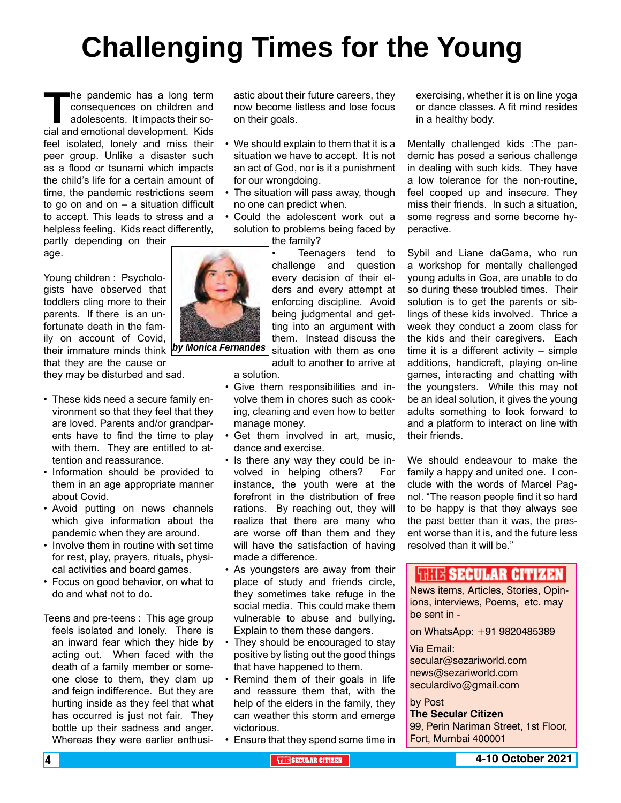# **Challenging Times for the Young**

The pandemic has a long term<br>
consequences on children and<br>
adolescents. It impacts their so-<br>
cial and emotional development. Kids consequences on children and adolescents. It impacts their sofeel isolated, lonely and miss their peer group. Unlike a disaster such as a flood or tsunami which impacts the child's life for a certain amount of time, the pandemic restrictions seem to go on and on  $-$  a situation difficult to accept. This leads to stress and a helpless feeling. Kids react differently,

partly depending on their age.

Young children : Psychologists have observed that toddlers cling more to their parents. If there is an unfortunate death in the family on account of Covid, their immature minds think *by Monica Fernandes*that they are the cause or

they may be disturbed and sad.

- These kids need a secure family environment so that they feel that they are loved. Parents and/or grandparents have to find the time to play with them. They are entitled to attention and reassurance.
- Information should be provided to them in an age appropriate manner about Covid.
- Avoid putting on news channels which give information about the pandemic when they are around.
- Involve them in routine with set time for rest, play, prayers, rituals, physical activities and board games.
- Focus on good behavior, on what to do and what not to do.
- Teens and pre-teens : This age group feels isolated and lonely. There is an inward fear which they hide by acting out. When faced with the death of a family member or someone close to them, they clam up and feign indifference. But they are hurting inside as they feel that what has occurred is just not fair. They bottle up their sadness and anger. Whereas they were earlier enthusi-

astic about their future careers, they now become listless and lose focus on their goals.

- We should explain to them that it is a situation we have to accept. It is not an act of God, nor is it a punishment for our wrongdoing.
- The situation will pass away, though no one can predict when.
- Could the adolescent work out a solution to problems being faced by the family?

Teenagers tend to challenge and question every decision of their elders and every attempt at enforcing discipline. Avoid being judgmental and getting into an argument with them. Instead discuss the situation with them as one

adult to another to arrive at

- Give them responsibilities and involve them in chores such as cooking, cleaning and even how to better manage money.
- Get them involved in art, music, dance and exercise.
- Is there any way they could be involved in helping others? For instance, the youth were at the forefront in the distribution of free rations. By reaching out, they will realize that there are many who are worse off than them and they will have the satisfaction of having made a difference.
- As youngsters are away from their place of study and friends circle, they sometimes take refuge in the social media. This could make them vulnerable to abuse and bullying. Explain to them these dangers.
- They should be encouraged to stay positive by listing out the good things that have happened to them.
- Remind them of their goals in life and reassure them that, with the help of the elders in the family, they can weather this storm and emerge victorious.
- Ensure that they spend some time in

exercising, whether it is on line yoga or dance classes. A fit mind resides in a healthy body.

Mentally challenged kids :The pandemic has posed a serious challenge in dealing with such kids. They have a low tolerance for the non-routine, feel cooped up and insecure. They miss their friends. In such a situation, some regress and some become hyperactive.

Sybil and Liane daGama, who run a workshop for mentally challenged young adults in Goa, are unable to do so during these troubled times. Their solution is to get the parents or siblings of these kids involved. Thrice a week they conduct a zoom class for the kids and their caregivers. Each time it is a different activity – simple additions, handicraft, playing on-line games, interacting and chatting with the youngsters. While this may not be an ideal solution, it gives the young adults something to look forward to and a platform to interact on line with their friends.

We should endeavour to make the family a happy and united one. I conclude with the words of Marcel Pagnol. "The reason people find it so hard to be happy is that they always see the past better than it was, the present worse than it is, and the future less resolved than it will be."

### **WHE SECULAR CITIZEN**

News items, Articles, Stories, Opinions, interviews, Poems, etc. may be sent in -

on WhatsApp: +91 9820485389

#### Via Email:

secular@sezariworld.com news@sezariworld.com seculardivo@gmail.com

#### by Post

**The Secular Citizen** 99, Perin Nariman Street, 1st Floor, Fort, Mumbai 400001

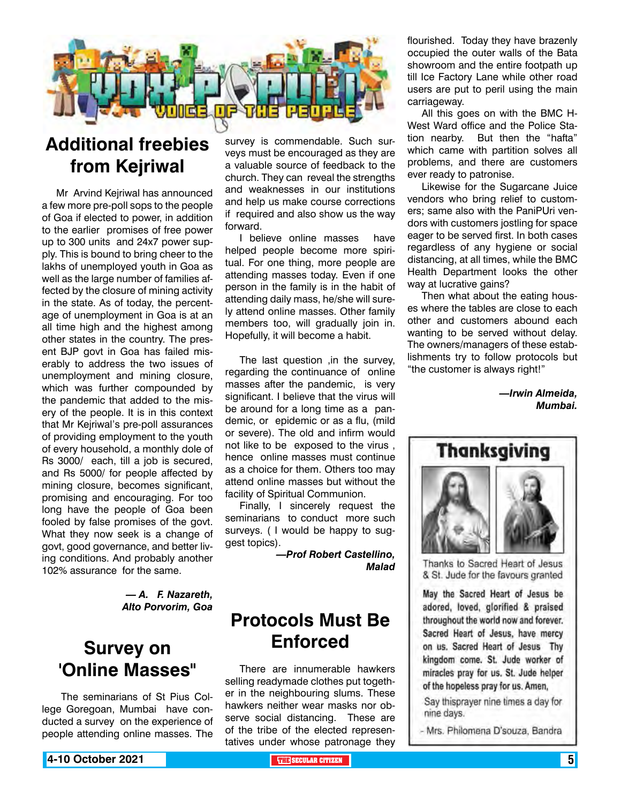

## **Additional freebies from Kejriwal**

Mr Arvind Kejriwal has announced a few more pre-poll sops to the people of Goa if elected to power, in addition to the earlier promises of free power up to 300 units and 24x7 power supply. This is bound to bring cheer to the lakhs of unemployed youth in Goa as well as the large number of families affected by the closure of mining activity in the state. As of today, the percentage of unemployment in Goa is at an all time high and the highest among other states in the country. The present BJP govt in Goa has failed miserably to address the two issues of unemployment and mining closure, which was further compounded by the pandemic that added to the misery of the people. It is in this context that Mr Kejriwal's pre-poll assurances of providing employment to the youth of every household, a monthly dole of Rs 3000/ each, till a job is secured, and Rs 5000/ for people affected by mining closure, becomes significant, promising and encouraging. For too long have the people of Goa been fooled by false promises of the govt. What they now seek is a change of govt, good governance, and better living conditions. And probably another 102% assurance for the same.

> *— A. F. Nazareth, Alto Porvorim, Goa*

### **Survey on 'Online Masses"**

 The seminarians of St Pius College Goregoan, Mumbai have conducted a survey on the experience of people attending online masses. The

survey is commendable. Such surveys must be encouraged as they are a valuable source of feedback to the church. They can reveal the strengths and weaknesses in our institutions and help us make course corrections if required and also show us the way forward.

I believe online masses have helped people become more spiritual. For one thing, more people are attending masses today. Even if one person in the family is in the habit of attending daily mass, he/she will surely attend online masses. Other family members too, will gradually join in. Hopefully, it will become a habit.

The last question ,in the survey, regarding the continuance of online masses after the pandemic, is very significant. I believe that the virus will be around for a long time as a pandemic, or epidemic or as a flu, (mild or severe). The old and infirm would not like to be exposed to the virus , hence online masses must continue as a choice for them. Others too may attend online masses but without the facility of Spiritual Communion.

Finally, I sincerely request the seminarians to conduct more such surveys. ( I would be happy to suggest topics).

> *—Prof Robert Castellino, Malad*

### **Protocols Must Be Enforced**

There are innumerable hawkers selling readymade clothes put together in the neighbouring slums. These hawkers neither wear masks nor observe social distancing. These are of the tribe of the elected representatives under whose patronage they

flourished. Today they have brazenly occupied the outer walls of the Bata showroom and the entire footpath up till Ice Factory Lane while other road users are put to peril using the main carriageway.

All this goes on with the BMC H-West Ward office and the Police Station nearby. But then the "hafta" which came with partition solves all problems, and there are customers ever ready to patronise.

Likewise for the Sugarcane Juice vendors who bring relief to customers; same also with the PaniPUri vendors with customers jostling for space eager to be served first. In both cases regardless of any hygiene or social distancing, at all times, while the BMC Health Department looks the other way at lucrative gains?

Then what about the eating houses where the tables are close to each other and customers abound each wanting to be served without delay. The owners/managers of these establishments try to follow protocols but "the customer is always right!"

> *—Irwin Almeida, Mumbai.*

![](_page_4_Picture_18.jpeg)

Thanks to Sacred Heart of Jesus & St. Jude for the favours granted

May the Sacred Heart of Jesus be adored, loved, glorified & praised throughout the world now and forever. Sacred Heart of Jesus, have mercy on us. Sacred Heart of Jesus Thy kingdom come. St. Jude worker of miracles pray for us. St. Jude helper of the hopeless pray for us. Amen,

Say thisprayer nine times a day for nine days.

<sup>-</sup> Mrs. Philomena D'souza, Bandra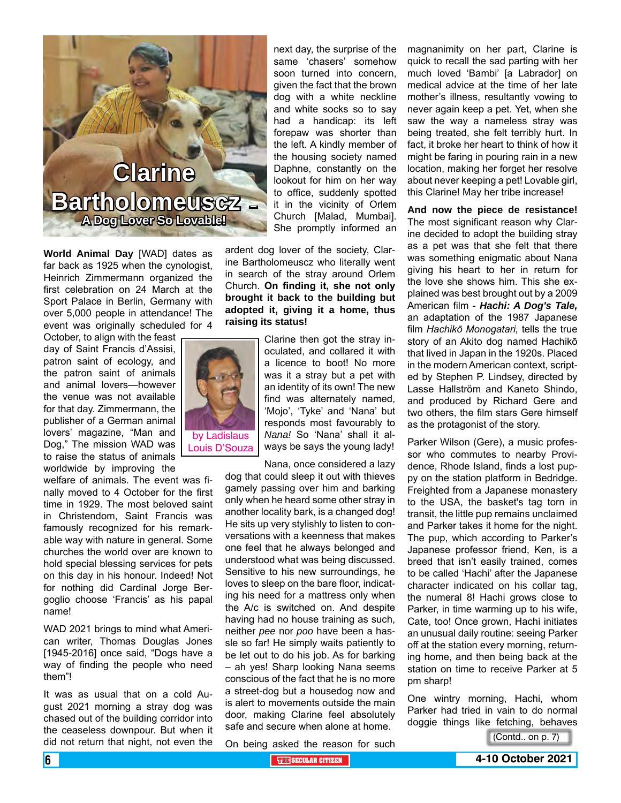![](_page_5_Picture_0.jpeg)

**World Animal Day** [WAD] dates as far back as 1925 when the cynologist, Heinrich Zimmermann organized the first celebration on 24 March at the Sport Palace in Berlin, Germany with over 5,000 people in attendance! The event was originally scheduled for 4

October, to align with the feast day of Saint Francis d'Assisi, patron saint of ecology, and the patron saint of animals and animal lovers—however the venue was not available for that day. Zimmermann, the publisher of a German animal lovers' magazine, "Man and Dog," The mission WAD was to raise the status of animals worldwide by improving the

welfare of animals. The event was finally moved to 4 October for the first time in 1929. The most beloved saint in Christendom, Saint Francis was famously recognized for his remarkable way with nature in general. Some churches the world over are known to hold special blessing services for pets on this day in his honour. Indeed! Not for nothing did Cardinal Jorge Bergoglio choose 'Francis' as his papal name!

WAD 2021 brings to mind what American writer, Thomas Douglas Jones [1945-2016] once said, "Dogs have a way of finding the people who need them"!

It was as usual that on a cold August 2021 morning a stray dog was chased out of the building corridor into the ceaseless downpour. But when it did not return that night, not even the

next day, the surprise of the same 'chasers' somehow soon turned into concern, given the fact that the brown dog with a white neckline and white socks so to say had a handicap: its left forepaw was shorter than the left. A kindly member of the housing society named Daphne, constantly on the lookout for him on her way to office, suddenly spotted it in the vicinity of Orlem Church [Malad, Mumbai]. She promptly informed an

ardent dog lover of the society, Clarine Bartholomeuscz who literally went in search of the stray around Orlem Church. **On finding it, she not only brought it back to the building but adopted it, giving it a home, thus raising its status!** 

> Clarine then got the stray inoculated, and collared it with a licence to boot! No more was it a stray but a pet with an identity of its own! The new find was alternately named, 'Mojo', 'Tyke' and 'Nana' but responds most favourably to *Nana!* So 'Nana' shall it always be says the young lady!

Nana, once considered a lazy dog that could sleep it out with thieves gamely passing over him and barking only when he heard some other stray in another locality bark, is a changed dog! He sits up very stylishly to listen to conversations with a keenness that makes one feel that he always belonged and understood what was being discussed. Sensitive to his new surroundings, he loves to sleep on the bare floor, indicating his need for a mattress only when the A/c is switched on. And despite having had no house training as such, neither *pee* nor *poo* have been a hassle so far! He simply waits patiently to be let out to do his job. As for barking – ah yes! Sharp looking Nana seems conscious of the fact that he is no more a street-dog but a housedog now and is alert to movements outside the main door, making Clarine feel absolutely safe and secure when alone at home.

magnanimity on her part, Clarine is quick to recall the sad parting with her much loved 'Bambi' [a Labrador] on medical advice at the time of her late mother's illness, resultantly vowing to never again keep a pet. Yet, when she saw the way a nameless stray was being treated, she felt terribly hurt. In fact, it broke her heart to think of how it might be faring in pouring rain in a new location, making her forget her resolve about never keeping a pet! Lovable girl, this Clarine! May her tribe increase!

**And now the piece de resistance!** The most significant reason why Clarine decided to adopt the building stray as a pet was that she felt that there was something enigmatic about Nana giving his heart to her in return for the love she shows him. This she explained was best brought out by a 2009 American film - *Hachi: A Dog's Tale,* an adaptation of the 1987 Japanese film *Hachikō Monogatari,* tells the true story of an Akito dog named Hachikō that lived in Japan in the 1920s. Placed in the modern American context, scripted by Stephen P. Lindsey, directed by Lasse Hallström and Kaneto Shindo, and produced by Richard Gere and two others, the film stars Gere himself as the protagonist of the story.

Parker Wilson (Gere), a music professor who commutes to nearby Providence, Rhode Island, finds a lost puppy on the station platform in Bedridge. Freighted from a Japanese monastery to the USA, the basket's tag torn in transit, the little pup remains unclaimed and Parker takes it home for the night. The pup, which according to Parker's Japanese professor friend, Ken, is a breed that isn't easily trained, comes to be called 'Hachi' after the Japanese character indicated on his collar tag, the numeral 8! Hachi grows close to Parker, in time warming up to his wife, Cate, too! Once grown, Hachi initiates an unusual daily routine: seeing Parker off at the station every morning, returning home, and then being back at the station on time to receive Parker at 5 pm sharp!

One wintry morning, Hachi, whom Parker had tried in vain to do normal doggie things like fetching, behaves

On being asked the reason for such

(Contd.. on p. 7)

![](_page_5_Picture_16.jpeg)

Louis D'Souza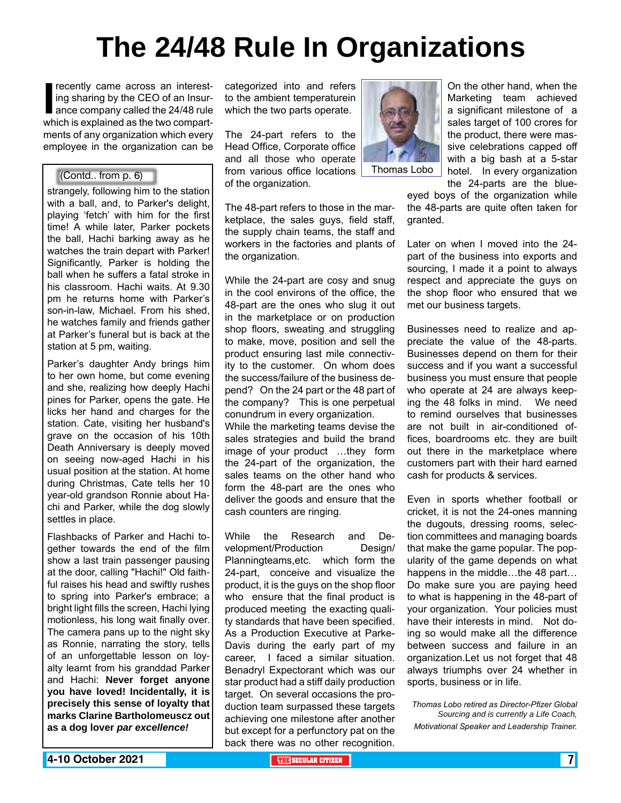# **The 24/48 Rule In Organizations**

**I** recently came across an interest-<br>ing sharing by the CEO of an Insur-<br>ance company called the 24/48 rule<br>which is explained as the two compartrecently came across an interesting sharing by the CEO of an Insurance company called the 24/48 rule ments of any organization which every employee in the organization can be

strangely, following him to the station with a ball, and, to Parker's delight, playing 'fetch' with him for the first time! A while later, Parker pockets the ball, Hachi barking away as he watches the train depart with Parker! Significantly, Parker is holding the ball when he suffers a fatal stroke in his classroom. Hachi waits. At 9.30 pm he returns home with Parker's son-in-law, Michael. From his shed, he watches family and friends gather at Parker's funeral but is back at the station at 5 pm, waiting.

Parker's daughter Andy brings him to her own home, but come evening and she, realizing how deeply Hachi pines for Parker, opens the gate. He licks her hand and charges for the station. Cate, visiting her husband's grave on the occasion of his 10th Death Anniversary is deeply moved on seeing now-aged Hachi in his usual position at the station. At home during Christmas, Cate tells her 10 year-old grandson Ronnie about Hachi and Parker, while the dog slowly settles in place.

Flashbacks of Parker and Hachi together towards the end of the film show a last train passenger pausing at the door, calling "Hachi!" Old faithful raises his head and swiftly rushes to spring into Parker's embrace; a bright light fills the screen, Hachi lying motionless, his long wait finally over. The camera pans up to the night sky as Ronnie, narrating the story, tells of an unforgettable lesson on loyalty learnt from his granddad Parker and Hachi: **Never forget anyone you have loved! Incidentally, it is precisely this sense of loyalty that marks Clarine Bartholomeuscz out as a dog lover** *par excellence!*

categorized into and refers to the ambient temperaturein which the two parts operate.

The 24-part refers to the Head Office, Corporate office and all those who operate from various office locations Thomas Lobo (Contd.. from p. 6)of the organization.

> The 48-part refers to those in the marketplace, the sales guys, field staff, the supply chain teams, the staff and workers in the factories and plants of the organization.

While the 24-part are cosy and snug in the cool environs of the office, the 48-part are the ones who slug it out in the marketplace or on production shop floors, sweating and struggling to make, move, position and sell the product ensuring last mile connectivity to the customer. On whom does the success/failure of the business depend? On the 24 part or the 48 part of the company? This is one perpetual conundrum in every organization. While the marketing teams devise the

sales strategies and build the brand image of your product …they form the 24-part of the organization, the sales teams on the other hand who form the 48-part are the ones who deliver the goods and ensure that the cash counters are ringing.

While the Research and Development/Production Design/ Planningteams,etc. which form the 24-part, conceive and visualize the product, it is the guys on the shop floor who ensure that the final product is produced meeting the exacting quality standards that have been specified. As a Production Executive at Parke-Davis during the early part of my career, I faced a similar situation. Benadryl Expectorant which was our star product had a stiff daily production target. On several occasions the production team surpassed these targets achieving one milestone after another but except for a perfunctory pat on the back there was no other recognition.

![](_page_6_Picture_12.jpeg)

On the other hand, when the Marketing team achieved a significant milestone of a sales target of 100 crores for the product, there were massive celebrations capped off with a big bash at a 5-star hotel. In every organization

the 24-parts are the blueeyed boys of the organization while the 48-parts are quite often taken for granted.

Later on when I moved into the 24 part of the business into exports and sourcing, I made it a point to always respect and appreciate the guys on the shop floor who ensured that we met our business targets.

Businesses need to realize and appreciate the value of the 48-parts. Businesses depend on them for their success and if you want a successful business you must ensure that people who operate at 24 are always keeping the 48 folks in mind. We need to remind ourselves that businesses are not built in air-conditioned offices, boardrooms etc. they are built out there in the marketplace where customers part with their hard earned cash for products & services.

Even in sports whether football or cricket, it is not the 24-ones manning the dugouts, dressing rooms, selection committees and managing boards that make the game popular. The popularity of the game depends on what happens in the middle...the 48 part... Do make sure you are paying heed to what is happening in the 48-part of your organization. Your policies must have their interests in mind. Not doing so would make all the difference between success and failure in an organization.Let us not forget that 48 always triumphs over 24 whether in sports, business or in life.

*Thomas Lobo retired as Director-Pfizer Global Sourcing and is currently a Life Coach, Motivational Speaker and Leadership Trainer.*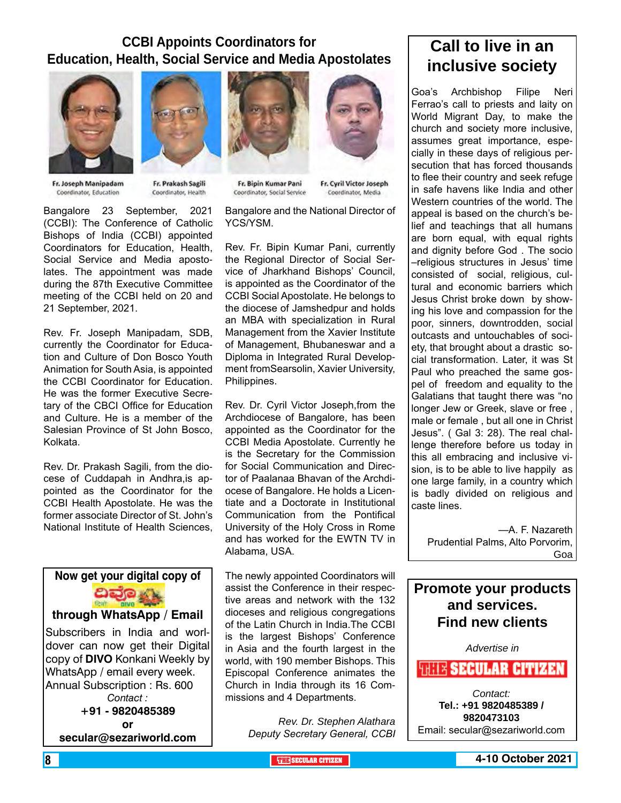### **CCBI Appoints Coordinators for Education, Health, Social Service and Media Apostolates**

![](_page_7_Picture_1.jpeg)

Fr. Joseph Manipadam Coordinator, Education

![](_page_7_Picture_3.jpeg)

Fr. Prakash Sagili Coordinator, Health

Bangalore 23 September, 2021 (CCBI): The Conference of Catholic Bishops of India (CCBI) appointed Coordinators for Education, Health, Social Service and Media apostolates. The appointment was made during the 87th Executive Committee meeting of the CCBI held on 20 and 21 September, 2021.

Rev. Fr. Joseph Manipadam, SDB, currently the Coordinator for Education and Culture of Don Bosco Youth Animation for South Asia, is appointed the CCBI Coordinator for Education. He was the former Executive Secretary of the CBCI Office for Education and Culture. He is a member of the Salesian Province of St John Bosco, Kolkata.

Rev. Dr. Prakash Sagili, from the diocese of Cuddapah in Andhra,is appointed as the Coordinator for the CCBI Health Apostolate. He was the former associate Director of St. John's National Institute of Health Sciences,

![](_page_7_Picture_8.jpeg)

![](_page_7_Picture_9.jpeg)

Fr. Bipin Kumar Pani Coordinator, Social Service

Fr. Cyril Victor Joseph Coordinator, Media

Bangalore and the National Director of YCS/YSM.

Rev. Fr. Bipin Kumar Pani, currently the Regional Director of Social Service of Jharkhand Bishops' Council, is appointed as the Coordinator of the CCBI Social Apostolate. He belongs to the diocese of Jamshedpur and holds an MBA with specialization in Rural Management from the Xavier Institute of Management, Bhubaneswar and a Diploma in Integrated Rural Development fromSearsolin, Xavier University, Philippines.

Rev. Dr. Cyril Victor Joseph,from the Archdiocese of Bangalore, has been appointed as the Coordinator for the CCBI Media Apostolate. Currently he is the Secretary for the Commission for Social Communication and Director of Paalanaa Bhavan of the Archdiocese of Bangalore. He holds a Licentiate and a Doctorate in Institutional Communication from the Pontifical University of the Holy Cross in Rome and has worked for the EWTN TV in Alabama, USA.

The newly appointed Coordinators will assist the Conference in their respective areas and network with the 132 dioceses and religious congregations of the Latin Church in India.The CCBI is the largest Bishops' Conference in Asia and the fourth largest in the world, with 190 member Bishops. This Episcopal Conference animates the Church in India through its 16 Commissions and 4 Departments.

> *Rev. Dr. Stephen Alathara Deputy Secretary General, CCBI*

### **Call to live in an inclusive society**

Goa's Archbishop Filipe Neri Ferrao's call to priests and laity on World Migrant Day, to make the church and society more inclusive, assumes great importance, especially in these days of religious persecution that has forced thousands to flee their country and seek refuge in safe havens like India and other Western countries of the world. The appeal is based on the church's belief and teachings that all humans are born equal, with equal rights and dignity before God . The socio –religious structures in Jesus' time consisted of social, religious, cultural and economic barriers which Jesus Christ broke down by showing his love and compassion for the poor, sinners, downtrodden, social outcasts and untouchables of society, that brought about a drastic social transformation. Later, it was St Paul who preached the same gospel of freedom and equality to the Galatians that taught there was "no longer Jew or Greek, slave or free , male or female , but all one in Christ Jesus". ( Gal 3: 28). The real challenge therefore before us today in this all embracing and inclusive vision, is to be able to live happily as one large family, in a country which is badly divided on religious and caste lines.

—A. F. Nazareth Prudential Palms, Alto Porvorim, Goa

### **Promote your products and services. Find new clients**

*Advertise in*

**WHIS SECULAR CITIZEN** 

*Contact:* **Tel.: +91 9820485389 / 9820473103** Email: secular@sezariworld.com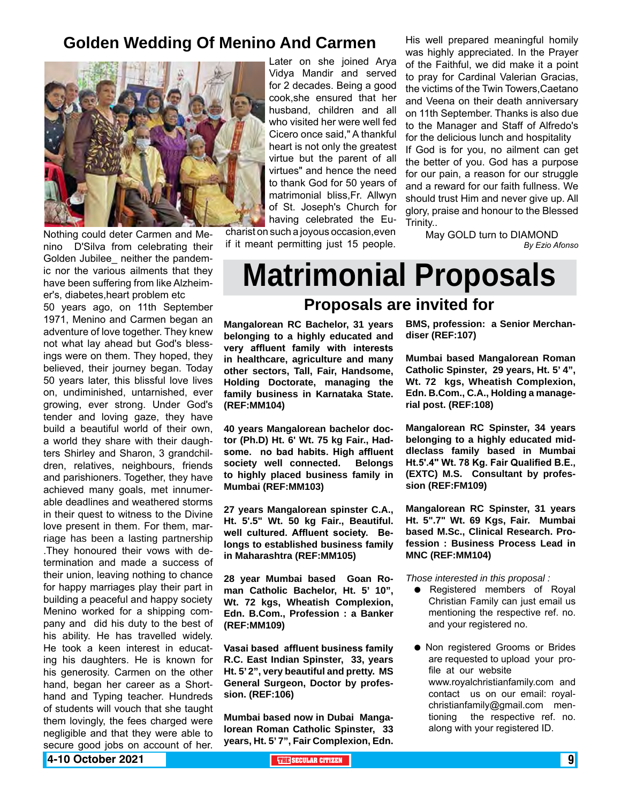### **Golden Wedding Of Menino And Carmen**

![](_page_8_Picture_1.jpeg)

Nothing could deter Carmen and Menino D'Silva from celebrating their Golden Jubilee neither the pandemic nor the various ailments that they have been suffering from like Alzheimer's, diabetes,heart problem etc

50 years ago, on 11th September 1971, Menino and Carmen began an adventure of love together. They knew not what lay ahead but God's blessings were on them. They hoped, they believed, their journey began. Today 50 years later, this blissful love lives on, undiminished, untarnished, ever growing, ever strong. Under God's tender and loving gaze, they have build a beautiful world of their own, a world they share with their daughters Shirley and Sharon, 3 grandchildren, relatives, neighbours, friends and parishioners. Together, they have achieved many goals, met innumerable deadlines and weathered storms in their quest to witness to the Divine love present in them. For them, marriage has been a lasting partnership .They honoured their vows with determination and made a success of their union, leaving nothing to chance for happy marriages play their part in building a peaceful and happy society Menino worked for a shipping company and did his duty to the best of his ability. He has travelled widely. He took a keen interest in educating his daughters. He is known for his generosity. Carmen on the other hand, began her career as a Shorthand and Typing teacher. Hundreds of students will vouch that she taught them lovingly, the fees charged were negligible and that they were able to secure good jobs on account of her.

Later on she joined Arya Vidya Mandir and served for 2 decades. Being a good cook,she ensured that her husband, children and all who visited her were well fed Cicero once said," A thankful heart is not only the greatest virtue but the parent of all virtues" and hence the need to thank God for 50 years of matrimonial bliss,Fr. Allwyn of St. Joseph's Church for having celebrated the Eu-

charist on such a joyous occasion,even if it meant permitting just 15 people. His well prepared meaningful homily was highly appreciated. In the Prayer of the Faithful, we did make it a point to pray for Cardinal Valerian Gracias, the victims of the Twin Towers,Caetano and Veena on their death anniversary on 11th September. Thanks is also due to the Manager and Staff of Alfredo's for the delicious lunch and hospitality If God is for you, no ailment can get the better of you. God has a purpose for our pain, a reason for our struggle and a reward for our faith fullness. We should trust Him and never give up. All glory, praise and honour to the Blessed Trinity..

May GOLD turn to DIAMOND *By Ezio Afonso*

# **Matrimonial Proposals**

### **Proposals are invited for**

**Mangalorean RC Bachelor, 31 years belonging to a highly educated and very affluent family with interests in healthcare, agriculture and many other sectors, Tall, Fair, Handsome, Holding Doctorate, managing the family business in Karnataka State. (REF:MM104)**

**40 years Mangalorean bachelor doctor (Ph.D) Ht. 6' Wt. 75 kg Fair., Hadsome. no bad habits. High affluent society well connected. Belongs to highly placed business family in Mumbai (REF:MM103)**

**27 years Mangalorean spinster C.A., Ht. 5'.5" Wt. 50 kg Fair., Beautiful. well cultured. Affluent society. Belongs to established business family in Maharashtra (REF:MM105)**

**28 year Mumbai based Goan Roman Catholic Bachelor, Ht. 5' 10", Wt. 72 kgs, Wheatish Complexion, Edn. B.Com., Profession : a Banker (REF:MM109)**

**Vasai based affluent business family R.C. East Indian Spinster, 33, years Ht. 5' 2", very beautiful and pretty. MS General Surgeon, Doctor by profession. (REF:106)**

**Mumbai based now in Dubai Mangalorean Roman Catholic Spinster, 33 years, Ht. 5' 7", Fair Complexion, Edn.** 

**BMS, profession: a Senior Merchandiser (REF:107)**

**Mumbai based Mangalorean Roman Catholic Spinster, 29 years, Ht. 5' 4", Wt. 72 kgs, Wheatish Complexion, Edn. B.Com., C.A., Holding a managerial post. (REF:108)** 

**Mangalorean RC Spinster, 34 years belonging to a highly educated middleclass family based in Mumbai Ht.5'.4" Wt. 78 Kg. Fair Qualified B.E., (EXTC) M.S. Consultant by profession (REF:FM109)**

**Mangalorean RC Spinster, 31 years Ht. 5".7" Wt. 69 Kgs, Fair. Mumbai based M.Sc., Clinical Research. Profession : Business Process Lead in MNC (REF:MM104)**

*Those interested in this proposal :*

- Registered members of Royal Christian Family can just email us mentioning the respective ref. no. and your registered no.
- $\bullet$  Non registered Grooms or Brides are requested to upload your profile at our website www.royalchristianfamily.com and contact us on our email: royalchristianfamily@gmail.com mentioning the respective ref. no. along with your registered ID.

**4-10 October 2021 The Contract of the Securar Citizen The Contract of the Contract of the Contract of the Contract of the Contract of the Contract of the Contract of the Contract of the Contract of the Contract of the**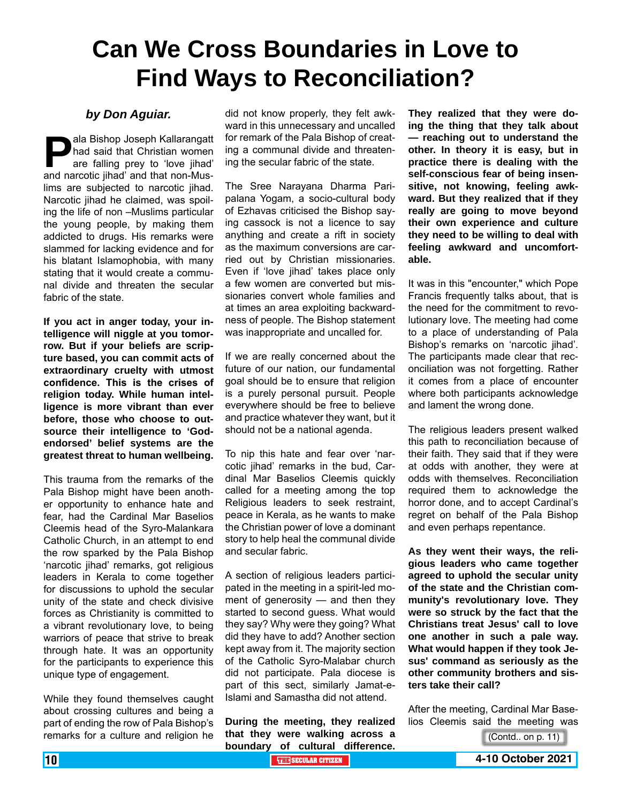## **Can We Cross Boundaries in Love to Find Ways to Reconciliation?**

### *by Don Aguiar.*

**Pala Bishop Joseph Kallarangatt**<br>had said that Christian women<br>are falling prey to 'love jihad'<br>and narcotic iihad' and that non-Mushad said that Christian women are falling prey to 'love jihad' and narcotic jihad' and that non-Muslims are subjected to narcotic jihad. Narcotic jihad he claimed, was spoiling the life of non –Muslims particular the young people, by making them addicted to drugs. His remarks were slammed for lacking evidence and for his blatant Islamophobia, with many stating that it would create a communal divide and threaten the secular fabric of the state.

**If you act in anger today, your intelligence will niggle at you tomorrow. But if your beliefs are scripture based, you can commit acts of extraordinary cruelty with utmost confidence. This is the crises of religion today. While human intelligence is more vibrant than ever before, those who choose to outsource their intelligence to 'Godendorsed' belief systems are the greatest threat to human wellbeing.**

This trauma from the remarks of the Pala Bishop might have been another opportunity to enhance hate and fear, had the Cardinal Mar Baselios Cleemis head of the Syro-Malankara Catholic Church, in an attempt to end the row sparked by the Pala Bishop 'narcotic jihad' remarks, got religious leaders in Kerala to come together for discussions to uphold the secular unity of the state and check divisive forces as Christianity is committed to a vibrant revolutionary love, to being warriors of peace that strive to break through hate. It was an opportunity for the participants to experience this unique type of engagement.

While they found themselves caught about crossing cultures and being a part of ending the row of Pala Bishop's remarks for a culture and religion he

did not know properly, they felt awkward in this unnecessary and uncalled for remark of the Pala Bishop of creating a communal divide and threatening the secular fabric of the state.

The Sree Narayana Dharma Paripalana Yogam, a socio-cultural body of Ezhavas criticised the Bishop saying cassock is not a licence to say anything and create a rift in society as the maximum conversions are carried out by Christian missionaries. Even if 'love jihad' takes place only a few women are converted but missionaries convert whole families and at times an area exploiting backwardness of people. The Bishop statement was inappropriate and uncalled for.

If we are really concerned about the future of our nation, our fundamental goal should be to ensure that religion is a purely personal pursuit. People everywhere should be free to believe and practice whatever they want, but it should not be a national agenda.

To nip this hate and fear over 'narcotic jihad' remarks in the bud, Cardinal Mar Baselios Cleemis quickly called for a meeting among the top Religious leaders to seek restraint, peace in Kerala, as he wants to make the Christian power of love a dominant story to help heal the communal divide and secular fabric.

A section of religious leaders participated in the meeting in a spirit-led moment of generosity — and then they started to second guess. What would they say? Why were they going? What did they have to add? Another section kept away from it. The majority section of the Catholic Syro-Malabar church did not participate. Pala diocese is part of this sect, similarly Jamat-e-Islami and Samastha did not attend.

**During the meeting, they realized that they were walking across a boundary of cultural difference.** 

**They realized that they were doing the thing that they talk about — reaching out to understand the other. In theory it is easy, but in practice there is dealing with the self-conscious fear of being insensitive, not knowing, feeling awkward. But they realized that if they really are going to move beyond their own experience and culture they need to be willing to deal with feeling awkward and uncomfortable.**

It was in this "encounter," which Pope Francis frequently talks about, that is the need for the commitment to revolutionary love. The meeting had come to a place of understanding of Pala Bishop's remarks on 'narcotic jihad'. The participants made clear that reconciliation was not forgetting. Rather it comes from a place of encounter where both participants acknowledge and lament the wrong done.

The religious leaders present walked this path to reconciliation because of their faith. They said that if they were at odds with another, they were at odds with themselves. Reconciliation required them to acknowledge the horror done, and to accept Cardinal's regret on behalf of the Pala Bishop and even perhaps repentance.

**As they went their ways, the religious leaders who came together agreed to uphold the secular unity of the state and the Christian community's revolutionary love. They were so struck by the fact that the Christians treat Jesus' call to love one another in such a pale way. What would happen if they took Jesus' command as seriously as the other community brothers and sisters take their call?**

After the meeting, Cardinal Mar Baselios Cleemis said the meeting was

<sup>(</sup>Contd.. on p. 11)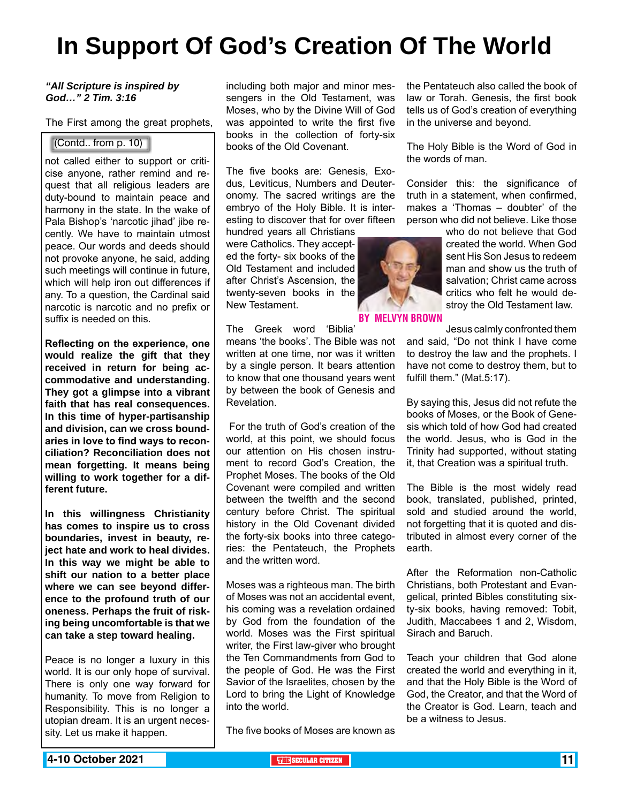## **In Support Of God's Creation Of The World**

#### *"All Scripture is inspired by God…" 2 Tim. 3:16*

The First among the great prophets,

#### (Contd.. from p. 10)

not called either to support or criticise anyone, rather remind and request that all religious leaders are duty-bound to maintain peace and harmony in the state. In the wake of Pala Bishop's 'narcotic jihad' jibe recently. We have to maintain utmost peace. Our words and deeds should not provoke anyone, he said, adding such meetings will continue in future, which will help iron out differences if any. To a question, the Cardinal said narcotic is narcotic and no prefix or suffix is needed on this.

**Reflecting on the experience, one would realize the gift that they received in return for being accommodative and understanding. They got a glimpse into a vibrant faith that has real consequences. In this time of hyper-partisanship and division, can we cross boundaries in love to find ways to reconciliation? Reconciliation does not mean forgetting. It means being willing to work together for a different future.**

**In this willingness Christianity has comes to inspire us to cross boundaries, invest in beauty, reject hate and work to heal divides. In this way we might be able to shift our nation to a better place where we can see beyond difference to the profound truth of our oneness. Perhaps the fruit of risking being uncomfortable is that we can take a step toward healing.**

Peace is no longer a luxury in this world. It is our only hope of survival. There is only one way forward for humanity. To move from Religion to Responsibility. This is no longer a utopian dream. It is an urgent necessity. Let us make it happen.

including both major and minor messengers in the Old Testament, was Moses, who by the Divine Will of God was appointed to write the first five books in the collection of forty-six books of the Old Covenant.

The five books are: Genesis, Exodus, Leviticus, Numbers and Deuteronomy. The sacred writings are the embryo of the Holy Bible. It is interesting to discover that for over fifteen

hundred years all Christians were Catholics. They accepted the forty- six books of the Old Testament and included after Christ's Ascension, the twenty-seven books in the New Testament.

The Greek word 'Biblia'

means 'the books'. The Bible was not written at one time, nor was it written by a single person. It bears attention to know that one thousand years went by between the book of Genesis and Revelation.

 For the truth of God's creation of the world, at this point, we should focus our attention on His chosen instrument to record God's Creation, the Prophet Moses. The books of the Old Covenant were compiled and written between the twelfth and the second century before Christ. The spiritual history in the Old Covenant divided the forty-six books into three categories: the Pentateuch, the Prophets and the written word.

Moses was a righteous man. The birth of Moses was not an accidental event, his coming was a revelation ordained by God from the foundation of the world. Moses was the First spiritual writer, the First law-giver who brought the Ten Commandments from God to the people of God. He was the First Savior of the Israelites, chosen by the Lord to bring the Light of Knowledge into the world.

The five books of Moses are known as

the Pentateuch also called the book of law or Torah. Genesis, the first book tells us of God's creation of everything in the universe and beyond.

The Holy Bible is the Word of God in the words of man.

Consider this: the significance of truth in a statement, when confirmed, makes a 'Thomas – doubter' of the person who did not believe. Like those

> who do not believe that God created the world. When God sent His Son Jesus to redeem man and show us the truth of salvation; Christ came across critics who felt he would destroy the Old Testament law.

![](_page_10_Picture_19.jpeg)

#### By Melvyn Brown

Jesus calmly confronted them and said, "Do not think I have come to destroy the law and the prophets. I have not come to destroy them, but to fulfill them." (Mat.5:17).

By saying this, Jesus did not refute the books of Moses, or the Book of Genesis which told of how God had created the world. Jesus, who is God in the Trinity had supported, without stating it, that Creation was a spiritual truth.

The Bible is the most widely read book, translated, published, printed, sold and studied around the world, not forgetting that it is quoted and distributed in almost every corner of the earth.

After the Reformation non-Catholic Christians, both Protestant and Evangelical, printed Bibles constituting sixty-six books, having removed: Tobit, Judith, Maccabees 1 and 2, Wisdom, Sirach and Baruch.

Teach your children that God alone created the world and everything in it, and that the Holy Bible is the Word of God, the Creator, and that the Word of the Creator is God. Learn, teach and be a witness to Jesus.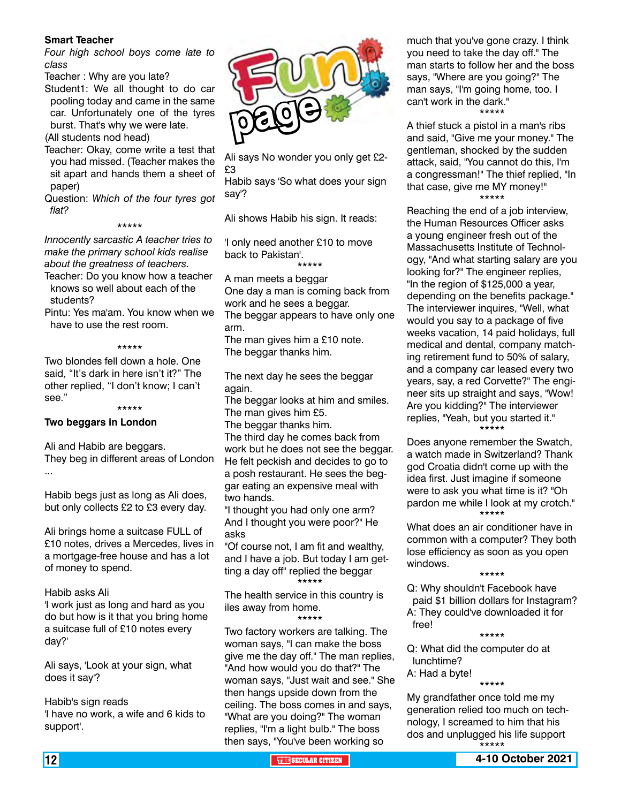#### **Smart Teacher**

*Four high school boys come late to class*

- Teacher : Why are you late?
- Student1: We all thought to do car pooling today and came in the same car. Unfortunately one of the tyres burst. That's why we were late.

(All students nod head)

- Teacher: Okay, come write a test that you had missed. (Teacher makes the sit apart and hands them a sheet of paper)
- Question: *Which of the four tyres got flat?*

#### \*\*\*\*\*

*Innocently sarcastic A teacher tries to make the primary school kids realise about the greatness of teachers.* 

- Teacher: Do you know how a teacher knows so well about each of the students?
- Pintu: Yes ma'am. You know when we have to use the rest room.

#### \*\*\*\*\*

Two blondes fell down a hole. One said, "It's dark in here isn't it?" The other replied, "I don't know; I can't see."

\*\*\*\*\*

#### **Two beggars in London**

Ali and Habib are beggars. They beg in different areas of London ...

Habib begs just as long as Ali does, but only collects £2 to £3 every day.

Ali brings home a suitcase FULL of £10 notes, drives a Mercedes, lives in a mortgage-free house and has a lot of money to spend.

Habib asks Ali 'I work just as long and hard as you do but how is it that you bring home a suitcase full of £10 notes every day?'

Ali says, 'Look at your sign, what does it say'?

Habib's sign reads 'I have no work, a wife and 6 kids to support'.

![](_page_11_Picture_21.jpeg)

Ali says No wonder you only get £2- £3

Habib says 'So what does your sign say'?

Ali shows Habib his sign. It reads:

'I only need another £10 to move back to Pakistan'.

\*\*\*\*\*

A man meets a beggar One day a man is coming back from work and he sees a beggar. The beggar appears to have only one arm.

The man gives him a £10 note. The beggar thanks him.

The next day he sees the beggar again.

The beggar looks at him and smiles. The man gives him £5.

The beggar thanks him.

The third day he comes back from work but he does not see the beggar. He felt peckish and decides to go to a posh restaurant. He sees the beggar eating an expensive meal with two hands.

"I thought you had only one arm? And I thought you were poor?" He asks

"Of course not, I am fit and wealthy, and I have a job. But today I am getting a day off" replied the beggar \*\*\*\*\*

The health service in this country is iles away from home.

\*\*\*\*\*

Two factory workers are talking. The woman says, "I can make the boss give me the day off." The man replies, "And how would you do that?" The woman says, "Just wait and see." She then hangs upside down from the ceiling. The boss comes in and says, "What are you doing?" The woman replies, "I'm a light bulb." The boss then says, "You've been working so

much that you've gone crazy. I think you need to take the day off." The man starts to follow her and the boss says, "Where are you going?" The man says, "I'm going home, too. I can't work in the dark." \*\*\*\*\*

A thief stuck a pistol in a man's ribs and said, "Give me your money." The gentleman, shocked by the sudden attack, said, "You cannot do this, I'm a congressman!" The thief replied, "In that case, give me MY money!" \*\*\*\*\*

Reaching the end of a job interview, the Human Resources Officer asks a young engineer fresh out of the Massachusetts Institute of Technology, "And what starting salary are you looking for?" The engineer replies, "In the region of \$125,000 a year, depending on the benefits package." The interviewer inquires, "Well, what would you say to a package of five weeks vacation, 14 paid holidays, full medical and dental, company matching retirement fund to 50% of salary, and a company car leased every two years, say, a red Corvette?" The engineer sits up straight and says, "Wow! Are you kidding?" The interviewer replies, "Yeah, but you started it." \*\*\*\*\*

Does anyone remember the Swatch, a watch made in Switzerland? Thank god Croatia didn't come up with the idea first. Just imagine if someone were to ask you what time is it? "Oh pardon me while I look at my crotch." \*\*\*\*\*

What does an air conditioner have in common with a computer? They both lose efficiency as soon as you open windows.

\*\*\*\*\*

Q: Why shouldn't Facebook have paid \$1 billion dollars for Instagram? A: They could've downloaded it for free!

\*\*\*\*\*

Q: What did the computer do at lunchtime? A: Had a byte!

\*\*\*\*\*

My grandfather once told me my generation relied too much on technology, I screamed to him that his dos and unplugged his life support \*\*\*\*\*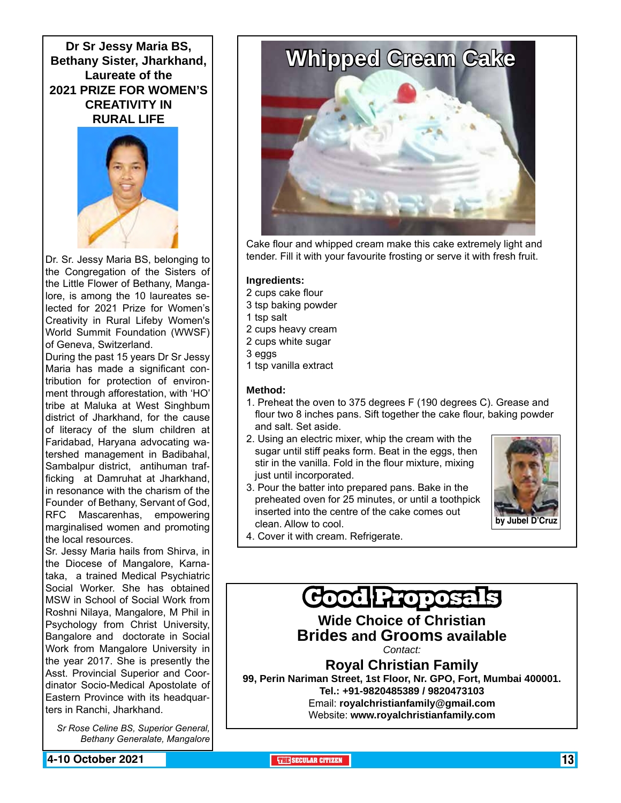**Dr Sr Jessy Maria BS, Bethany Sister, Jharkhand, Laureate of the 2021 PRIZE FOR WOMEN'S CREATIVITY IN RURAL LIFE** 

![](_page_12_Picture_1.jpeg)

Dr. Sr. Jessy Maria BS, belonging to the Congregation of the Sisters of the Little Flower of Bethany, Mangalore, is among the 10 laureates selected for 2021 Prize for Women's Creativity in Rural Lifeby Women's World Summit Foundation (WWSF) of Geneva, Switzerland.

During the past 15 years Dr Sr Jessy Maria has made a significant contribution for protection of environment through afforestation, with 'HO' tribe at Maluka at West Singhbum district of Jharkhand, for the cause of literacy of the slum children at Faridabad, Haryana advocating watershed management in Badibahal, Sambalpur district, antihuman trafficking at Damruhat at Jharkhand, in resonance with the charism of the Founder of Bethany, Servant of God, RFC Mascarenhas, empowering marginalised women and promoting the local resources.

Sr. Jessy Maria hails from Shirva, in the Diocese of Mangalore, Karnataka, a trained Medical Psychiatric Social Worker. She has obtained MSW in School of Social Work from Roshni Nilaya, Mangalore, M Phil in Psychology from Christ University, Bangalore and doctorate in Social Work from Mangalore University in the year 2017. She is presently the Asst. Provincial Superior and Coordinator Socio-Medical Apostolate of Eastern Province with its headquarters in Ranchi, Jharkhand.

*Sr Rose Celine BS, Superior General, Bethany Generalate, Mangalore*

![](_page_12_Picture_6.jpeg)

Cake flour and whipped cream make this cake extremely light and tender. Fill it with your favourite frosting or serve it with fresh fruit.

#### **Ingredients:**

- 2 cups cake flour
- 3 tsp baking powder
- 1 tsp salt
- 2 cups heavy cream
- 2 cups white sugar
- 3 eggs
- 1 tsp vanilla extract

#### **Method:**

- 1. Preheat the oven to 375 degrees F (190 degrees C). Grease and flour two 8 inches pans. Sift together the cake flour, baking powder and salt. Set aside.
- 2. Using an electric mixer, whip the cream with the sugar until stiff peaks form. Beat in the eggs, then stir in the vanilla. Fold in the flour mixture, mixing just until incorporated.
- 3. Pour the batter into prepared pans. Bake in the preheated oven for 25 minutes, or until a toothpick inserted into the centre of the cake comes out clean. Allow to cool.

![](_page_12_Picture_20.jpeg)

4. Cover it with cream. Refrigerate.

![](_page_12_Picture_22.jpeg)

**4-10 October 2021 THE SECULAR CITIZEN** 13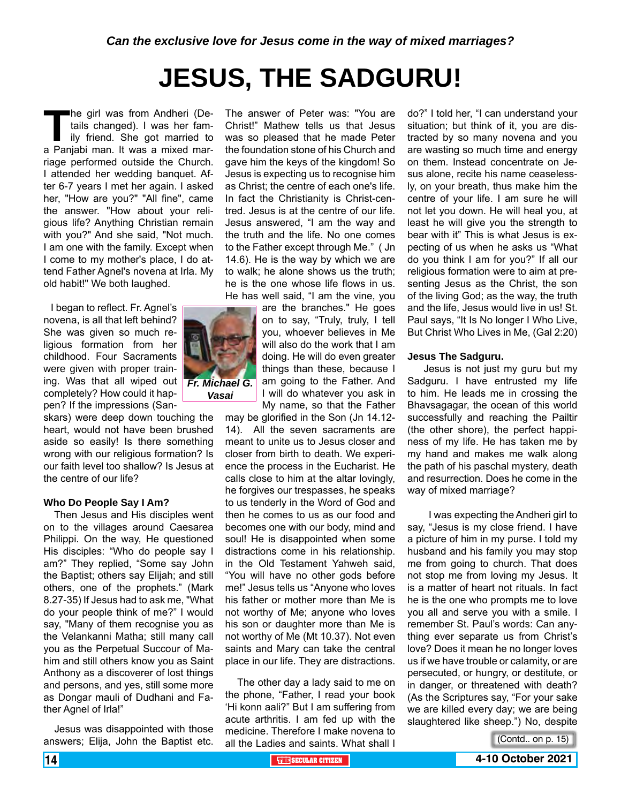# **JESUS, THE SADGURU!**

**The girl was from Andheri (De-**<br>tails changed). I was her fam-<br>ily friend. She got married to<br>a Panjabi man. It was a mixed martails changed). I was her family friend. She got married to riage performed outside the Church. I attended her wedding banquet. After 6-7 years I met her again. I asked her, "How are you?" "All fine", came the answer. "How about your religious life? Anything Christian remain with you?" And she said, "Not much. I am one with the family. Except when I come to my mother's place, I do attend Father Agnel's novena at Irla. My old habit!" We both laughed.

 I began to reflect. Fr. Agnel's novena, is all that left behind? She was given so much religious formation from her childhood. Four Sacraments were given with proper training. Was that all wiped out completely? How could it happen? If the impressions (San-

skars) were deep down touching the heart, would not have been brushed aside so easily! Is there something wrong with our religious formation? Is our faith level too shallow? Is Jesus at the centre of our life?

#### **Who Do People Say I Am?**

 Then Jesus and His disciples went on to the villages around Caesarea Philippi. On the way, He questioned His disciples: "Who do people say I am?" They replied, "Some say John the Baptist; others say Elijah; and still others, one of the prophets." (Mark 8.27-35) If Jesus had to ask me, "What do your people think of me?" I would say, "Many of them recognise you as the Velankanni Matha; still many call you as the Perpetual Succour of Mahim and still others know you as Saint Anthony as a discoverer of lost things and persons, and yes, still some more as Dongar mauli of Dudhani and Father Agnel of Irla!"

 Jesus was disappointed with those answers; Elija, John the Baptist etc.

The answer of Peter was: "You are Christ!" Mathew tells us that Jesus was so pleased that he made Peter the foundation stone of his Church and gave him the keys of the kingdom! So Jesus is expecting us to recognise him as Christ; the centre of each one's life. In fact the Christianity is Christ-centred. Jesus is at the centre of our life. Jesus answered, "I am the way and the truth and the life. No one comes to the Father except through Me." ( Jn 14.6). He is the way by which we are to walk; he alone shows us the truth; he is the one whose life flows in us. He has well said, "I am the vine, you

are the branches." He goes on to say, "Truly, truly, I tell you, whoever believes in Me will also do the work that I am doing. He will do even greater things than these, because I am going to the Father. And I will do whatever you ask in My name, so that the Father

may be glorified in the Son (Jn 14.12- 14). All the seven sacraments are meant to unite us to Jesus closer and closer from birth to death. We experience the process in the Eucharist. He calls close to him at the altar lovingly, he forgives our trespasses, he speaks to us tenderly in the Word of God and then he comes to us as our food and becomes one with our body, mind and soul! He is disappointed when some distractions come in his relationship. in the Old Testament Yahweh said, "You will have no other gods before me!" Jesus tells us "Anyone who loves his father or mother more than Me is not worthy of Me; anyone who loves his son or daughter more than Me is not worthy of Me (Mt 10.37). Not even saints and Mary can take the central place in our life. They are distractions.

 The other day a lady said to me on the phone, "Father, I read your book 'Hi konn aali?" But I am suffering from acute arthritis. I am fed up with the medicine. Therefore I make novena to all the Ladies and saints. What shall I do?" I told her, "I can understand your situation; but think of it, you are distracted by so many novena and you are wasting so much time and energy on them. Instead concentrate on Jesus alone, recite his name ceaselessly, on your breath, thus make him the centre of your life. I am sure he will not let you down. He will heal you, at least he will give you the strength to bear with it" This is what Jesus is expecting of us when he asks us "What do you think I am for you?" If all our religious formation were to aim at presenting Jesus as the Christ, the son of the living God; as the way, the truth and the life, Jesus would live in us! St. Paul says, "It Is No longer I Who Live, But Christ Who Lives in Me, (Gal 2:20)

#### **Jesus The Sadguru.**

 Jesus is not just my guru but my Sadguru. I have entrusted my life to him. He leads me in crossing the Bhavsagagar, the ocean of this world successfully and reaching the Pailtir (the other shore), the perfect happiness of my life. He has taken me by my hand and makes me walk along the path of his paschal mystery, death and resurrection. Does he come in the way of mixed marriage?

 I was expecting the Andheri girl to say, "Jesus is my close friend. I have a picture of him in my purse. I told my husband and his family you may stop me from going to church. That does not stop me from loving my Jesus. It is a matter of heart not rituals. In fact he is the one who prompts me to love you all and serve you with a smile. I remember St. Paul's words: Can anything ever separate us from Christ's love? Does it mean he no longer loves us if we have trouble or calamity, or are persecuted, or hungry, or destitute, or in danger, or threatened with death? (As the Scriptures say, "For your sake we are killed every day; we are being slaughtered like sheep.") No, despite

![](_page_13_Picture_16.jpeg)

![](_page_13_Picture_17.jpeg)

![](_page_13_Picture_18.jpeg)

*Vasai*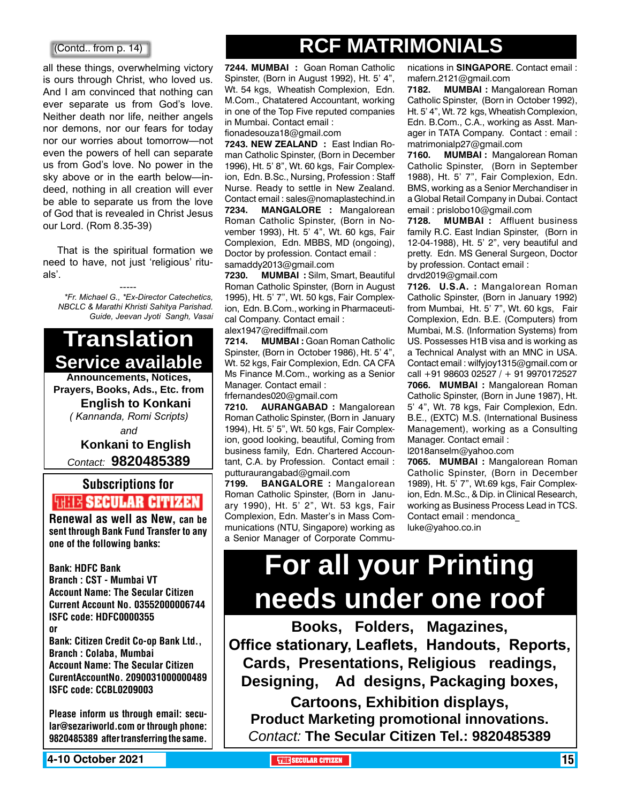#### (Contd.. from p. 14)

all these things, overwhelming victory is ours through Christ, who loved us. And I am convinced that nothing can ever separate us from God's love. Neither death nor life, neither angels nor demons, nor our fears for today nor our worries about tomorrow—not even the powers of hell can separate us from God's love. No power in the sky above or in the earth below—indeed, nothing in all creation will ever be able to separate us from the love of God that is revealed in Christ Jesus our Lord. (Rom 8.35-39)

 That is the spiritual formation we need to have, not just 'religious' rituals'.

----- *\*Fr. Michael G., \*Ex-Director Catechetics, NBCLC & Marathi Khristi Sahitya Parishad. Guide, Jeevan Jyoti Sangh, Vasai*

# **Translation Service available**

**Announcements, Notices, Prayers, Books, Ads., Etc. from English to Konkani** *( Kannanda, Romi Scripts)*

*and*

#### **Konkani to English** *Contact:* **9820485389**

## Subscriptions for **THIT'S SECULAR CITIZEN**<br>Renewal as well as New, can be

sent through Bank Fund Transfer to any one of the following banks:

Bank: HDFC Bank Branch : CST - Mumbai VT Account Name: The Secular Citizen Current Account No. 03552000006744 ISFC code: HDFC0000355 or Bank: Citizen Credit Co-op Bank Ltd., Branch : Colaba, Mumbai Account Name: The Secular Citizen CurentAccountNo. 2090031000000489 ISFC code: CCBL0209003

Please inform us through email: secular@sezariworld.com or through phone: 9820485389 after transferring the same.

**4-10 October 2021 The Secular Citizen 15 and Secular Citizen 15 and Secular Citizen 15 and Secular Citizen 15 and Secular Citizen 15 and Secular Citizen 15 and Secular Citizen 15 and Secular Citizen 15 and Secular Citiz** 

## **RCF Matrimonials**

**7244. MUMBAI :** Goan Roman Catholic Spinster, (Born in August 1992), Ht. 5' 4", Wt. 54 kgs, Wheatish Complexion, Edn. M.Com., Chatatered Accountant, working in one of the Top Five reputed companies in Mumbai. Contact email :

fionadesouza18@gmail.com

**7243. NEW ZEALAND :** East Indian Roman Catholic Spinster, (Born in December 1996), Ht. 5' 8", Wt. 60 kgs, Fair Complexion, Edn. B.Sc., Nursing, Profession : Staff Nurse. Ready to settle in New Zealand. Contact email : sales@nomaplastechind.in **7234. MANGALORE :** Mangalorean Roman Catholic Spinster, (Born in November 1993), Ht. 5' 4", Wt. 60 kgs, Fair Complexion, Edn. MBBS, MD (ongoing), Doctor by profession. Contact email : samaddy2013@gmail.com

**7230. MUMBAI :** Silm, Smart, Beautiful Roman Catholic Spinster, (Born in August 1995), Ht. 5' 7", Wt. 50 kgs, Fair Complexion, Edn. B.Com., working in Pharmaceutical Company. Contact email : alex1947@rediffmail.com

**7214. MUMBAI :** Goan Roman Catholic Spinster, (Born in October 1986), Ht. 5' 4", Wt. 52 kgs, Fair Complexion, Edn. CA CFA Ms Finance M.Com., working as a Senior Manager. Contact email :

frfernandes020@gmail.com

**7210. AURANGABAD :** Mangalorean Roman Catholic Spinster, (Born in January 1994), Ht. 5' 5", Wt. 50 kgs, Fair Complexion, good looking, beautiful, Coming from business family, Edn. Chartered Accountant, C.A. by Profession. Contact email : putturaurangabad@gmail.com

**7199. BANGALORE :** Mangalorean Roman Catholic Spinster, (Born in January 1990), Ht. 5' 2", Wt. 53 kgs, Fair Complexion, Edn. Master's in Mass Communications (NTU, Singapore) working as a Senior Manager of Corporate Commu-

nications in **SINGAPORE**. Contact email : mafern.2121@gmail.com

**7182. MUMBAI :** Mangalorean Roman Catholic Spinster, (Born in October 1992), Ht. 5' 4", Wt. 72 kgs, Wheatish Complexion, Edn. B.Com., C.A., working as Asst. Manager in TATA Company. Contact : email : matrimonialp27@gmail.com

**7160. MUMBAI :** Mangalorean Roman Catholic Spinster, (Born in September 1988), Ht. 5' 7", Fair Complexion, Edn. BMS, working as a Senior Merchandiser in a Global Retail Company in Dubai. Contact email : prislobo10@gmail.com

**7128. MUMBAI :** Affluent business family R.C. East Indian Spinster, (Born in 12-04-1988), Ht. 5' 2", very beautiful and pretty. Edn. MS General Surgeon, Doctor by profession. Contact email : drvd2019@gmail.com

**7126. U.S.A. :** Mangalorean Roman Catholic Spinster, (Born in January 1992) from Mumbai, Ht. 5' 7", Wt. 60 kgs, Fair Complexion, Edn. B.E. (Computers) from Mumbai, M.S. (Information Systems) from US. Possesses H1B visa and is working as a Technical Analyst with an MNC in USA. Contact email : wilfyjoy1315@gmail.com or call +91 98603 02527 / + 91 9970172527 **7066. MUMBAI :** Mangalorean Roman Catholic Spinster, (Born in June 1987), Ht. 5' 4", Wt. 78 kgs, Fair Complexion, Edn. B.E., (EXTC) M.S. (International Business Management), working as a Consulting Manager. Contact email :

l2018anselm@yahoo.com

**7065. MUMBAI :** Mangalorean Roman Catholic Spinster, (Born in December 1989), Ht. 5' 7", Wt.69 kgs, Fair Complexion, Edn. M.Sc., & Dip. in Clinical Research, working as Business Process Lead in TCS. Contact email : mendonca\_ luke@yahoo.co.in

# **For all your Printing needs under one roof**

**Books, Folders, Magazines, Office stationary, Leaflets, Handouts, Reports, Cards, Presentations, Religious readings, Designing, Ad designs, Packaging boxes,** 

**Cartoons, Exhibition displays, Product Marketing promotional innovations.** *Contact:* **The Secular Citizen Tel.: 9820485389**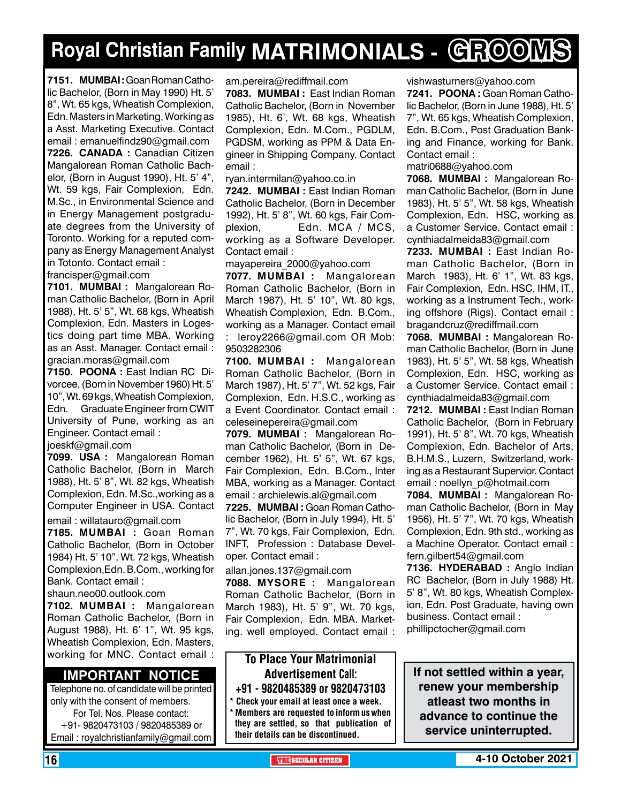# **Royal Christian Family MATRIMONIALS - GROOMS**

**7151. MUMBAI :** Goan Roman Catholic Bachelor, (Born in May 1990) Ht. 5' 8", Wt. 65 kgs, Wheatish Complexion, Edn. Masters in Marketing, Working as a Asst. Marketing Executive. Contact email : emanuelfindz90@gmail.com **7226. CANADA :** Canadian Citizen Mangalorean Roman Catholic Bachelor, (Born in August 1990), Ht. 5' 4", Wt. 59 kgs, Fair Complexion, Edn. M.Sc., in Environmental Science and in Energy Management postgraduate degrees from the University of Toronto. Working for a reputed company as Energy Management Analyst in Totonto. Contact email :

francisper@gmail.com

**7101. MUMBAI :** Mangalorean Roman Catholic Bachelor, (Born in April 1988), Ht. 5' 5", Wt. 68 kgs, Wheatish Complexion, Edn. Masters in Logestics doing part time MBA. Working as an Asst. Manager. Contact email : gracian.moras@gmail.com

**7150. POONA :** East Indian RC Divorcee, (Born in November 1960) Ht. 5' 10", Wt. 69 kgs, Wheatish Complexion, Edn. Graduate Engineer from CWIT University of Pune, working as an Engineer. Contact email :

joeskf@gmail.com

**7099. USA :** Mangalorean Roman Catholic Bachelor, (Born in March 1988), Ht. 5' 8", Wt. 82 kgs, Wheatish Complexion, Edn. M.Sc.,working as a Computer Engineer in USA. Contact

email : willatauro@gmail.com

**7185. MUMBAI :** Goan Roman Catholic Bachelor, (Born in October 1984) Ht. 5' 10", Wt. 72 kgs, Wheatish Complexion,Edn. B.Com., working for Bank. Contact email :

shaun.neo00.outlook.com

**7102. MUMBAI :** Mangalorean Roman Catholic Bachelor, (Born in August 1988), Ht. 6' 1", Wt. 95 kgs, Wheatish Complexion, Edn. Masters, working for MNC. Contact email :

#### **Important Notice**

Telephone no. of candidate will be printed only with the consent of members. For Tel. Nos. Please contact: +91- 9820473103 / 9820485389 or Email : royalchristianfamily@gmail.com

am.pereira@rediffmail.com

**7083. MUMBAI :** East Indian Roman Catholic Bachelor, (Born in November 1985), Ht. 6', Wt. 68 kgs, Wheatish Complexion, Edn. M.Com., PGDLM, PGDSM, working as PPM & Data Engineer in Shipping Company. Contact email :

ryan.intermilan@yahoo.co.in

**7242. MUMBAI :** East Indian Roman Catholic Bachelor, (Born in December 1992), Ht. 5' 8", Wt. 60 kgs, Fair Complexion, Edn. MCA / MCS, working as a Software Developer. Contact email :

mayapereira\_2000@yahoo.com

**7077. MUMBAI :** Mangalorean Roman Catholic Bachelor, (Born in March 1987), Ht. 5' 10", Wt. 80 kgs, Wheatish Complexion, Edn. B.Com., working as a Manager. Contact email : leroy2266@gmail.com OR Mob: 9503282306

**7100. MUMBAI :** Mangalorean Roman Catholic Bachelor, (Born in March 1987), Ht. 5' 7", Wt. 52 kgs, Fair Complexion, Edn. H.S.C., working as a Event Coordinator. Contact email : celeseinepereira@gmail.com

**7079. MUMBAI :** Mangalorean Roman Catholic Bachelor, (Born in December 1962), Ht. 5' 5", Wt. 67 kgs, Fair Complexion, Edn. B.Com., Inter MBA, working as a Manager. Contact email : archielewis.al@gmail.com

**7225. MUMBAI :** Goan Roman Catholic Bachelor, (Born in July 1994), Ht. 5' 7", Wt. 70 kgs, Fair Complexion, Edn. INFT, Profession : Database Developer. Contact email :

#### allan.jones.137@gmail.com

**7088. MYSORE :** Mangalorean Roman Catholic Bachelor, (Born in March 1983), Ht. 5' 9", Wt. 70 kgs, Fair Complexion, Edn. MBA. Marketing. well employed. Contact email :

#### To Place Your Matrimonial Advertisement Call: +91 - 9820485389 or 9820473103

Check your email at least once a week. Members are requested to inform us when they are settled, so that publication of their details can be discontinued.

vishwasturners@yahoo.com

**7241. POONA :** Goan Roman Catholic Bachelor, (Born in June 1988), Ht. 5' 7", Wt. 65 kgs, Wheatish Complexion, Edn. B.Com., Post Graduation Banking and Finance, working for Bank. Contact email :

matri0688@yahoo.com

**7068. MUMBAI :** Mangalorean Roman Catholic Bachelor, (Born in June 1983), Ht. 5' 5", Wt. 58 kgs, Wheatish Complexion, Edn. HSC, working as a Customer Service. Contact email : cynthiadalmeida83@gmail.com

**7233. MUMBAI :** East Indian Roman Catholic Bachelor, (Born in March 1983), Ht. 6' 1", Wt. 83 kgs, Fair Complexion, Edn. HSC, IHM, IT., working as a Instrument Tech., working offshore (Rigs). Contact email : bragandcruz@rediffmail.com

**7068. MUMBAI :** Mangalorean Roman Catholic Bachelor, (Born in June 1983), Ht. 5' 5", Wt. 58 kgs, Wheatish Complexion, Edn. HSC, working as a Customer Service. Contact email : cynthiadalmeida83@gmail.com

**7212. MUMBAI :** East Indian Roman Catholic Bachelor, (Born in February 1991), Ht. 5' 8", Wt. 70 kgs, Wheatish Complexion, Edn. Bachelor of Arts, B.H.M.S., Luzern, Switzerland, working as a Restaurant Supervior. Contact email : noellyn\_p@hotmail.com

**7084. MUMBAI :** Mangalorean Roman Catholic Bachelor, (Born in May 1956), Ht. 5' 7", Wt. 70 kgs, Wheatish Complexion, Edn. 9th std., working as a Machine Operator. Contact email : fern.gilbert54@gmail.com

**7136. HYDERABAD :** Anglo Indian RC Bachelor, (Born in July 1988) Ht. 5' 8", Wt. 80 kgs, Wheatish Complexion, Edn. Post Graduate, having own business. Contact email : phillipctocher@gmail.com

**If not settled within a year, renew your membership atleast two months in advance to continue the service uninterrupted.**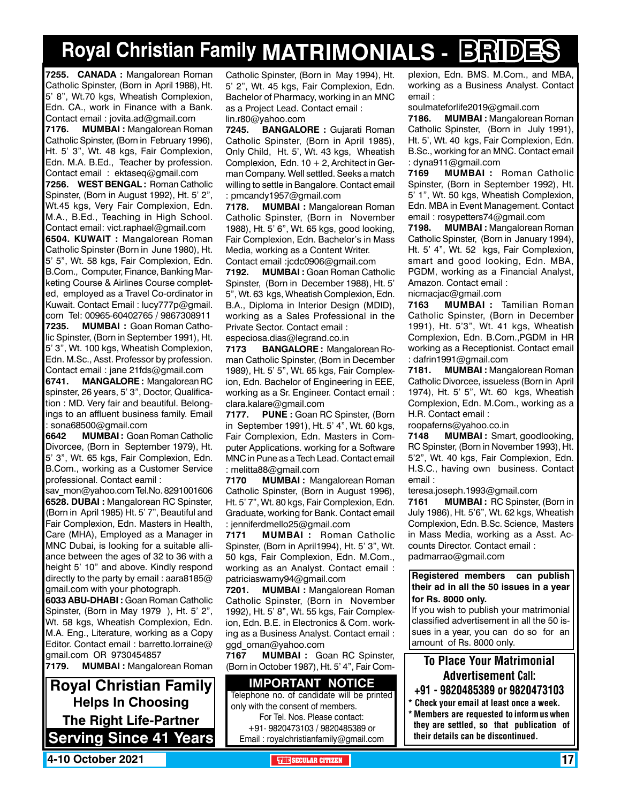# **Royal Christian Family MATRIMONIALS - BRIDES**

**7255. canada :** Mangalorean Roman Catholic Spinster, (Born in April 1988), Ht. 5' 8", Wt.70 kgs, Wheatish Complexion, Edn. CA., work in Finance with a Bank. Contact email : jovita.ad@gmail.com

**7176. MUMBAI :** Mangalorean Roman Catholic Spinster, (Born in February 1996), Ht. 5' 3", Wt. 48 kgs, Fair Complexion, Edn. M.A. B.Ed., Teacher by profession. Contact email : ektaseq@gmail.com

**7256. West Bengal :** Roman Catholic Spinster, (Born in August 1992), Ht. 5' 2", Wt.45 kgs, Very Fair Complexion, Edn. M.A., B.Ed., Teaching in High School. Contact email: vict.raphael@gmail.com **6504. Kuwait :** Mangalorean Roman Catholic Spinster (Born in June 1980), Ht. 5' 5", Wt. 58 kgs, Fair Complexion, Edn. B.Com., Computer, Finance, Banking Marketing Course & Airlines Course completed, employed as a Travel Co-ordinator in Kuwait. Contact Email : lucy777p@gmail. com Tel: 00965-60402765 / 9867308911 **7235. MUMBAI :** Goan Roman Catholic Spinster, (Born in September 1991), Ht. 5' 3", Wt. 100 kgs, Wheatish Complexion, Edn. M.Sc., Asst. Professor by profession.

Contact email : jane 21fds@gmail.com **6741. MANGALORE :** Mangalorean RC spinster, 26 years, 5' 3", Doctor, Qualification : MD. Very fair and beautiful. Belongings to an affluent business family. Email : sona68500@gmail.com

**6642 MUMBAI :** Goan Roman Catholic Divorcee, (Born in September 1979), Ht. 5' 3", Wt. 65 kgs, Fair Complexion, Edn. B.Com., working as a Customer Service professional. Contact eamil :

sav\_mon@yahoo.com Tel.No. 8291001606 **6528. DUBAI :** Mangalorean RC Spinster, (Born in April 1985) Ht. 5' 7", Beautiful and Fair Complexion, Edn. Masters in Health, Care (MHA), Employed as a Manager in MNC Dubai, is looking for a suitable alliance between the ages of 32 to 36 with a height 5' 10" and above. Kindly respond directly to the party by email : aara8185@ gmail.com with your photograph.

**6033 ABU-DHABI :** Goan Roman Catholic Spinster, (Born in May 1979 ), Ht. 5' 2", Wt. 58 kgs, Wheatish Complexion, Edn. M.A. Eng., Literature, working as a Copy Editor. Contact email : barretto.lorraine@ gmail.com OR 9730454857

**7179. MUMBAI :** Mangalorean Roman

**Royal Christian Family Helps In Choosing The Right Life-Partner Serving Since 41 Years** Catholic Spinster, (Born in May 1994), Ht. 5' 2", Wt. 45 kgs, Fair Complexion, Edn. Bachelor of Pharmacy, working in an MNC as a Project Lead. Contact email : lin.r80@yahoo.com

**7245. BANGALORE :** Gujarati Roman Catholic Spinster, (Born in April 1985), Only Child, Ht. 5', Wt. 43 kgs, Wheatish Complexion, Edn.  $10 + 2$ , Architect in German Company. Well settled. Seeks a match willing to settle in Bangalore. Contact email : pmcandy1957@gmail.com

**7178. MUMBAI :** Mangalorean Roman Catholic Spinster, (Born in November 1988), Ht. 5' 6", Wt. 65 kgs, good looking, Fair Complexion, Edn. Bachelor's in Mass Media, working as a Content Writer. Contact email :jcdc0906@gmail.com

**7192. MUMBAI :** Goan Roman Catholic Spinster, (Born in December 1988), Ht. 5' 5", Wt. 63 kgs, Wheatish Complexion, Edn. B.A., Diploma in Interior Design (MDID), working as a Sales Professional in the Private Sector. Contact email :

especiosa.dias@legrand.co.in

**7173 BANGALORE :** Mangalorean Roman Catholic Spinster, (Born in December 1989), Ht. 5' 5", Wt. 65 kgs, Fair Complexion, Edn. Bachelor of Engineering in EEE, working as a Sr. Engineer. Contact email : clara.kalare@gmail.com

**7177. PUNE :** Goan RC Spinster, (Born in September 1991), Ht. 5' 4", Wt. 60 kgs. Fair Complexion, Edn. Masters in Computer Applications. working for a Software MNC in Pune as a Tech Lead. Contact email : melitta88@gmail.com

**7170 MUMBAI :** Mangalorean Roman Catholic Spinster, (Born in August 1996), Ht. 5' 7", Wt. 80 kgs, Fair Complexion, Edn. Graduate, working for Bank. Contact email : jenniferdmello25@gmail.com

**7171 MUMBAI :** Roman Catholic Spinster, (Born in April1994), Ht. 5' 3", Wt. 50 kgs, Fair Complexion, Edn. M.Com., working as an Analyst. Contact email : patriciaswamy94@gmail.com

**7201. MUMBAI :** Mangalorean Roman Catholic Spinster, (Born in November 1992), Ht. 5' 8", Wt. 55 kgs, Fair Complexion, Edn. B.E. in Electronics & Com. working as a Business Analyst. Contact email : ggd\_oman@yahoo.com

**7167 MUMBAI :** Goan RC Spinster, (Born in October 1987), Ht. 5' 4", Fair Com-

#### **Important Notice**

Telephone no. of candidate will be printed only with the consent of members. For Tel. Nos. Please contact:

+91- 9820473103 / 9820485389 or Email : royalchristianfamily@gmail.com plexion, Edn. BMS. M.Com., and MBA, working as a Business Analyst. Contact email :

soulmateforlife2019@gmail.com

**7186. MUMBAI :** Mangalorean Roman Catholic Spinster, (Born in July 1991), Ht. 5', Wt. 40 kgs, Fair Complexion, Edn. B.Sc., working for an MNC. Contact email : dyna911@gmail.com

**7169 MUMBAI :** Roman Catholic Spinster, (Born in September 1992), Ht. 5' 1", Wt. 50 kgs, Wheatish Complexion, Edn. MBA in Event Management. Contact email : rosypetters74@gmail.com

**7198. MUMBAI :** Mangalorean Roman Catholic Spinster, (Born in January 1994), Ht. 5' 4", Wt. 52 kgs, Fair Complexion, smart and good looking, Edn. MBA, PGDM, working as a Financial Analyst, Amazon. Contact email : nicmacjac@gmail.com

**7163 MUMBAI :** Tamilian Roman Catholic Spinster, (Born in December 1991), Ht. 5'3", Wt. 41 kgs, Wheatish Complexion, Edn. B.Com.,PGDM in HR working as a Receptionist. Contact email : dafrin1991@gmail.com

**7181. MUMBAI :** Mangalorean Roman Catholic Divorcee, issueless (Born in April 1974), Ht. 5' 5", Wt. 60 kgs, Wheatish Complexion, Edn. M.Com., working as a H.R. Contact email :

roopaferns@yahoo.co.in

**7148 MUMBAI :** Smart, goodlooking, RC Spinster, (Born in November 1993), Ht. 5'2", Wt. 40 kgs, Fair Complexion, Edn. H.S.C., having own business. Contact email :

teresa.joseph.1993@gmail.com

**7161 MUMBAI :** RC Spinster, (Born in July 1986), Ht. 5'6", Wt. 62 kgs, Wheatish Complexion, Edn. B.Sc. Science, Masters in Mass Media, working as a Asst. Accounts Director. Contact email : padmarrao@gmail.com

**Registered members can publish their ad in all the 50 issues in a year for Rs. 8000 only.**

If you wish to publish your matrimonial classified advertisement in all the 50 issues in a year, you can do so for an amount of Rs. 8000 only.

### To Place Your Matrimonial Advertisement Call:

- +91 9820485389 or 9820473103
- \* Check your email at least once a week. \* Members are requested to inform us when they are settled, so that publication of their details can be discontinued.

**4-10 October 2021 THE SECULAR CITIZEN** 17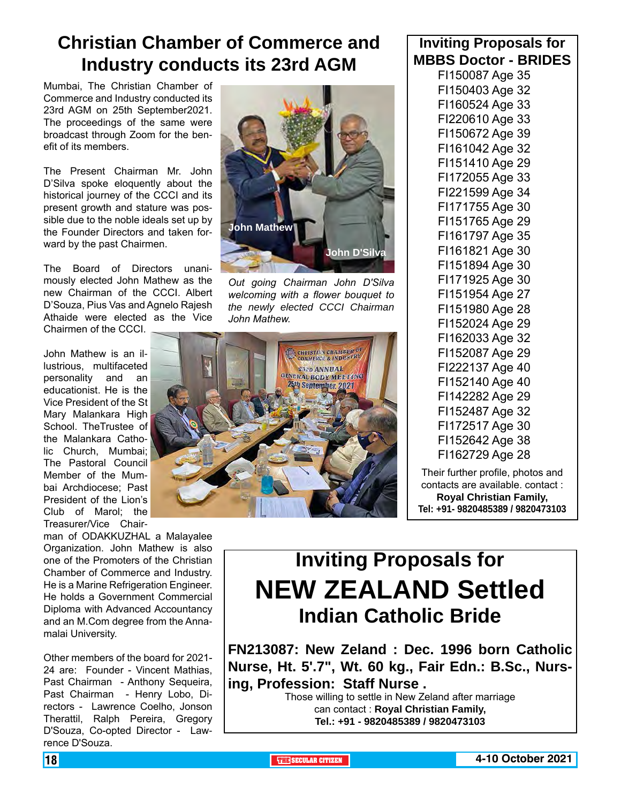## **Christian Chamber of Commerce and Industry conducts its 23rd AGM**

Mumbai, The Christian Chamber of Commerce and Industry conducted its 23rd AGM on 25th September2021. The proceedings of the same were broadcast through Zoom for the benefit of its members.

The Present Chairman Mr. John D'Silva spoke eloquently about the historical journey of the CCCI and its present growth and stature was possible due to the noble ideals set up by the Founder Directors and taken forward by the past Chairmen.

The Board of Directors unanimously elected John Mathew as the new Chairman of the CCCI. Albert D'Souza, Pius Vas and Agnelo Rajesh Athaide were elected as the Vice Chairmen of the CCCI.

John Mathew is an illustrious, multifaceted personality and an educationist. He is the Vice President of the St Mary Malankara High School. TheTrustee of the Malankara Catholic Church, Mumbai; The Pastoral Council Member of the Mumbai Archdiocese; Past President of the Lion's Club of Marol; the Treasurer/Vice Chair-

man of ODAKKUZHAL a Malayalee Organization. John Mathew is also one of the Promoters of the Christian Chamber of Commerce and Industry. He is a Marine Refrigeration Engineer. He holds a Government Commercial Diploma with Advanced Accountancy and an M.Com degree from the Annamalai University.

Other members of the board for 2021- 24 are: Founder - Vincent Mathias, Past Chairman - Anthony Sequeira, Past Chairman - Henry Lobo, Directors - Lawrence Coelho, Jonson Therattil, Ralph Pereira, Gregory D'Souza, Co-opted Director - Lawrence D'Souza.

![](_page_17_Picture_7.jpeg)

*Out going Chairman John D'Silva welcoming with a flower bouquet to the newly elected CCCI Chairman John Mathew.*

![](_page_17_Picture_9.jpeg)

### **Inviting Proposals for MBBS Doctor - BRIDES**

FI150087 Age 35 FI150403 Age 32 FI160524 Age 33 FI220610 Age 33 FI150672 Age 39 FI161042 Age 32 FI151410 Age 29 FI172055 Age 33 FI221599 Age 34 FI171755 Age 30 FI151765 Age 29 FI161797 Age 35 FI161821 Age 30 FI151894 Age 30 FI171925 Age 30 FI151954 Age 27 FI151980 Age 28 FI152024 Age 29 FI162033 Age 32 FI152087 Age 29 FI222137 Age 40 FI152140 Age 40 FI142282 Age 29 FI152487 Age 32 FI172517 Age 30 FI152642 Age 38 FI162729 Age 28

Their further profile, photos and contacts are available. contact : **Royal Christian Family, Tel: +91- 9820485389 / 9820473103**

## **Inviting Proposals for NEW ZEALAND Settled Indian Catholic Bride**

**FN213087: New Zeland : Dec. 1996 born Catholic Nurse, Ht. 5'.7", Wt. 60 kg., Fair Edn.: B.Sc., Nursing, Profession: Staff Nurse .**

Those willing to settle in New Zeland after marriage can contact : **Royal Christian Family, Tel.: +91 - 9820485389 / 9820473103**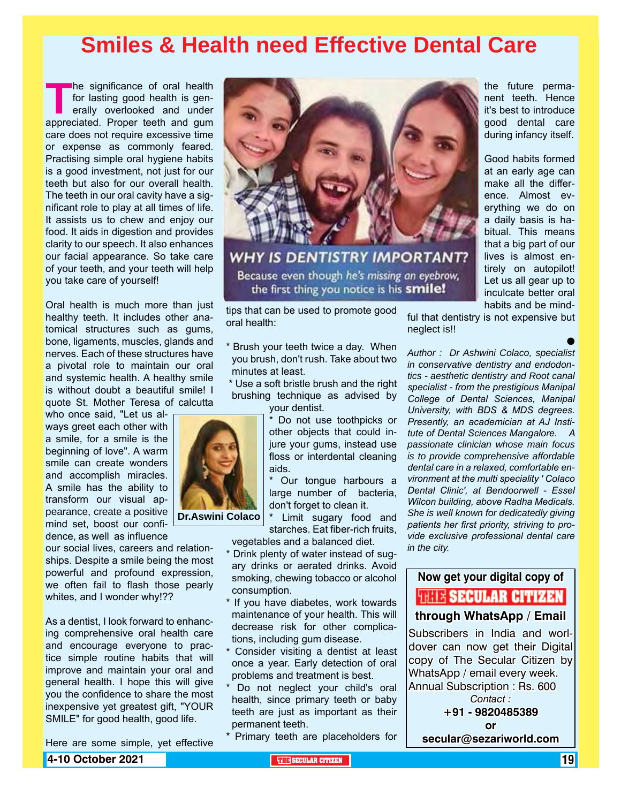## **Smiles & Health need Effective Dental Care**

**The significance of oral health**<br>
for lasting good health is generally overlooked and under<br>
appreciated. Proper teeth and gum for lasting good health is generally overlooked and under care does not require excessive time or expense as commonly feared. Practising simple oral hygiene habits is a good investment, not just for our teeth but also for our overall health. The teeth in our oral cavity have a significant role to play at all times of life. It assists us to chew and enjoy our food. It aids in digestion and provides clarity to our speech. It also enhances our facial appearance. So take care of your teeth, and your teeth will help you take care of yourself!

Oral health is much more than just healthy teeth. It includes other anatomical structures such as gums, bone, ligaments, muscles, glands and nerves. Each of these structures have a pivotal role to maintain our oral and systemic health. A healthy smile is without doubt a beautiful smile! I quote St. Mother Teresa of calcutta

who once said, "Let us always greet each other with a smile, for a smile is the beginning of love". A warm smile can create wonders and accomplish miracles. A smile has the ability to transform our visual appearance, create a positive mind set, boost our confidence, as well as influence

our social lives, careers and relationships. Despite a smile being the most powerful and profound expression, we often fail to flash those pearly whites, and I wonder why!??

As a dentist, I look forward to enhancing comprehensive oral health care and encourage everyone to practice simple routine habits that will improve and maintain your oral and general health. I hope this will give you the confidence to share the most inexpensive yet greatest gift, "YOUR SMILE" for good health, good life.

Here are some simple, yet effective

**4-10 October 2021 THE SECULAR CITIZEN** 19

![](_page_18_Picture_8.jpeg)

**WHY IS DENTISTRY IMPORTANT?** Because even though he's missing an eyebrow, the first thing you notice is his **smile!** 

tips that can be used to promote good oral health:

- \* Brush your teeth twice a day. When you brush, don't rush. Take about two minutes at least.
- \* Use a soft bristle brush and the right brushing technique as advised by your dentist.

\* Do not use toothpicks or other objects that could injure your gums, instead use floss or interdental cleaning aids.

Our tongue harbours a large number of bacteria, don't forget to clean it.

\* Limit sugary food and starches. Eat fiber-rich fruits, vegetables and a balanced diet.

- \* Drink plenty of water instead of sugary drinks or aerated drinks. Avoid smoking, chewing tobacco or alcohol consumption.
- \* If you have diabetes, work towards maintenance of your health. This will decrease risk for other complications, including gum disease.
- \* Consider visiting a dentist at least once a year. Early detection of oral problems and treatment is best.
- \* Do not neglect your child's oral health, since primary teeth or baby teeth are just as important as their permanent teeth.
- \* Primary teeth are placeholders for

the future permanent teeth. Hence it's best to introduce good dental care during infancy itself.

Good habits formed at an early age can make all the difference. Almost everything we do on a daily basis is habitual. This means that a big part of our lives is almost entirely on autopilot! Let us all gear up to inculcate better oral habits and be mind-

 $\bullet$ 

ful that dentistry is not expensive but neglect is!!

*Author : Dr Ashwini Colaco, specialist in conservative dentistry and endodontics - aesthetic dentistry and Root canal specialist - from the prestigious Manipal College of Dental Sciences, Manipal University, with BDS & MDS degrees. Presently, an academician at AJ Institute of Dental Sciences Mangalore. A passionate clinician whose main focus is to provide comprehensive affordable dental care in a relaxed, comfortable environment at the multi speciality ' Colaco Dental Clinic', at Bendoorwell - Essel Wilcon building, above Radha Medicals. She is well known for dedicatedly giving patients her first priority, striving to provide exclusive professional dental care in the city.* 

#### **Now get your digital copy of**

### **WIE SECULAR CITIZEN**

**through WhatsApp / Email**

Subscribers in India and worldover can now get their Digital copy of The Secular Citizen by WhatsApp / email every week. Annual Subscription : Rs. 600 *Contact :*

> **+91 - 9820485389 or**

**secular@sezariworld.com**

![](_page_18_Picture_31.jpeg)